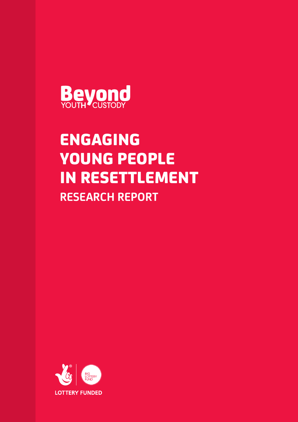

# ENGAGING YOUNG PEOPLE IN RESETTLEMENT **RESEARCH REPORT**

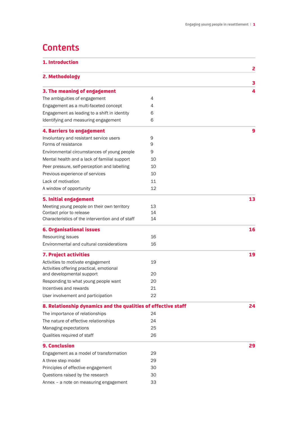## **Contents**

| 1. Introduction                                               |    |        |
|---------------------------------------------------------------|----|--------|
| 2. Methodology                                                |    | 2      |
| 3. The meaning of engagement                                  |    | 3<br>4 |
| The ambiguities of engagement                                 | 4  |        |
| Engagement as a multi-faceted concept                         | 4  |        |
| Engagement as leading to a shift in identity                  | 6  |        |
| Identifying and measuring engagement                          | 6  |        |
| 4. Barriers to engagement                                     |    | 9      |
| Involuntary and resistant service users                       | 9  |        |
| Forms of resistance                                           | 9  |        |
| Environmental circumstances of young people                   | 9  |        |
| Mental health and a lack of familial support                  | 10 |        |
| Peer pressure, self-perception and labelling                  | 10 |        |
| Previous experience of services                               | 10 |        |
| Lack of motivation                                            | 11 |        |
| A window of opportunity                                       | 12 |        |
| 5. Initial engagement                                         |    | 13     |
| Meeting young people on their own territory                   | 13 |        |
| Contact prior to release                                      | 14 |        |
| Characteristics of the intervention and of staff              | 14 |        |
| <b>6. Organisational issues</b>                               |    | 16     |
| Resourcing issues                                             | 16 |        |
| Environmental and cultural considerations                     | 16 |        |
| 7. Project activities                                         |    | 19     |
| Activities to motivate engagement                             | 19 |        |
| Activities offering practical, emotional                      |    |        |
| and developmental support                                     | 20 |        |
| Responding to what young people want                          | 20 |        |
| Incentives and rewards                                        | 21 |        |
| User involvement and participation                            | 22 |        |
| 8. Relationship dynamics and the qualities of effective staff |    | 24     |
| The importance of relationships                               | 24 |        |
| The nature of effective relationships                         | 24 |        |
| Managing expectations                                         | 25 |        |
| Qualities required of staff                                   | 26 |        |
| <b>9. Conclusion</b>                                          |    | 29     |
| Engagement as a model of transformation                       | 29 |        |
| A three step model                                            | 29 |        |
| Principles of effective engagement                            | 30 |        |
| Questions raised by the research                              | 30 |        |
| Annex - a note on measuring engagement                        | 33 |        |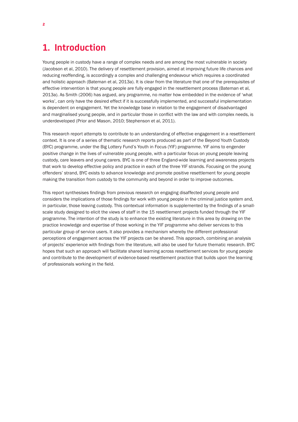### **1. Introduction**

Young people in custody have a range of complex needs and are among the most vulnerable in society (Jacobson et al, 2010). The delivery of resettlement provision, aimed at improving future life chances and reducing reoffending, is accordingly a complex and challenging endeavour which requires a coordinated and holistic approach (Bateman et al, 2013a). It is clear from the literature that one of the prerequisites of effective intervention is that young people are fully engaged in the resettlement process (Bateman et al, 2013a). As Smith (2006) has argued, any programme, no matter how embedded in the evidence of 'what works', can only have the desired effect if it is successfully implemented, and successful implementation is dependent on engagement. Yet the knowledge base in relation to the engagement of disadvantaged and marginalised young people, and in particular those in conflict with the law and with complex needs, is underdeveloped (Prior and Mason, 2010; Stephenson et al, 2011).

This research report attempts to contribute to an understanding of effective engagement in a resettlement context. It is one of a series of thematic research reports produced as part of the Beyond Youth Custody (BYC) programme, under the Big Lottery Fund's Youth in Focus (YIF) programme. YIF aims to engender positive change in the lives of vulnerable young people, with a particular focus on young people leaving custody, care leavers and young carers. BYC is one of three England-wide learning and awareness projects that work to develop effective policy and practice in each of the three YIF strands. Focusing on the young offenders' strand, BYC exists to advance knowledge and promote positive resettlement for young people making the transition from custody to the community and beyond in order to improve outcomes.

This report synthesises findings from previous research on engaging disaffected young people and considers the implications of those findings for work with young people in the criminal justice system and, in particular, those leaving custody. This contextual information is supplemented by the findings of a smallscale study designed to elicit the views of staff in the 15 resettlement projects funded through the YIF programme. The intention of the study is to enhance the existing literature in this area by drawing on the practice knowledge and expertise of those working in the YIF programme who deliver services to this particular group of service users. It also provides a mechanism whereby the different professional perceptions of engagement across the YIF projects can be shared. This approach, combining an analysis of projects' experience with findings from the literature, will also be used for future thematic research. BYC hopes that such an approach will facilitate shared learning across resettlement services for young people and contribute to the development of evidence-based resettlement practice that builds upon the learning of professionals working in the field.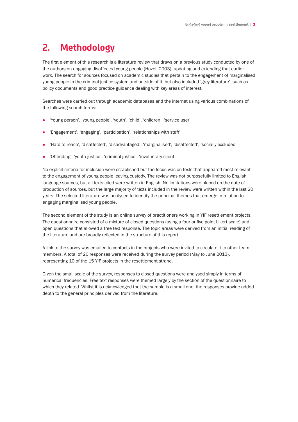# **2. Methodology**

The first element of this research is a literature review that draws on a previous study conducted by one of the authors on engaging disaffected young people (Hazel, 2003), updating and extending that earlier work. The search for sources focused on academic studies that pertain to the engagement of marginalised young people in the criminal justice system and outside of it, but also included 'grey literature', such as policy documents and good practice guidance dealing with key areas of interest.

Searches were carried out through academic databases and the internet using various combinations of the following search terms:

- 'Young person', 'young people', 'youth', 'child', 'children', 'service user'
- 'Engagement', 'engaging', 'participation', 'relationships with staff'
- l 'Hard to reach', 'disaffected', 'disadvantaged', 'marginalised', 'disaffected', 'socially excluded'
- 'Offending', 'youth justice', 'criminal justice', 'involuntary client'

No explicit criteria for inclusion were established but the focus was on texts that appeared most relevant to the engagement of young people leaving custody. The review was not purposefully limited to English language sources, but all texts cited were written in English. No limitations were placed on the date of production of sources, but the large majority of texts included in the review were written within the last 20 years. The selected literature was analysed to identify the principal themes that emerge in relation to engaging marginalised young people.

The second element of the study is an online survey of practitioners working in YIF resettlement projects. The questionnaire consisted of a mixture of closed questions (using a four or five point Likert scale) and open questions that allowed a free text response. The topic areas were derived from an initial reading of the literature and are broadly reflected in the structure of this report.

A link to the survey was emailed to contacts in the projects who were invited to circulate it to other team members. A total of 20 responses were received during the survey period (May to June 2013), representing 10 of the 15 YIF projects in the resettlement strand.

Given the small scale of the survey, responses to closed questions were analysed simply in terms of numerical frequencies. Free text responses were themed largely by the section of the questionnaire to which they related. Whilst it is acknowledged that the sample is a small one, the responses provide added depth to the general principles derived from the literature.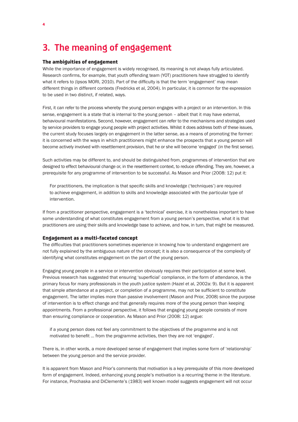### **3. The meaning of engagement**

#### The ambiguities of engagement

While the importance of engagement is widely recognised, its meaning is not always fully articulated. Research confirms, for example, that youth offending team (YOT) practitioners have struggled to identify what it refers to (Ipsos MORI, 2010). Part of the difficulty is that the term 'engagement' may mean different things in different contexts (Fredricks et al, 2004). In particular, it is common for the expression to be used in two distinct, if related, ways.

First, it can refer to the process whereby the young person engages with a project or an intervention. In this sense, engagement is a state that is internal to the young person – albeit that it may have external, behavioural manifestations. Second, however, engagement can refer to the mechanisms and strategies used by service providers to engage young people with project activities. Whilst it does address both of these issues, the current study focuses largely on engagement in the latter sense, as a means of promoting the former: it is concerned with the ways in which practitioners might enhance the prospects that a young person will become actively involved with resettlement provision, that he or she will become 'engaged' (in the first sense).

Such activities may be different to, and should be distinguished from, programmes of intervention that are designed to effect behavioural change or, in the resettlement context, to reduce offending. They are, however, a prerequisite for any programme of intervention to be successful. As Mason and Prior (2008: 12) put it:

For practitioners, the implication is that specific skills and knowledge ('techniques') are required to achieve engagement, in addition to skills and knowledge associated with the particular type of intervention.

If from a practitioner perspective, engagement is a 'technical' exercise, it is nonetheless important to have some understanding of what constitutes engagement from a young person's perspective, what it is that practitioners are using their skills and knowledge base to achieve, and how, in turn, that might be measured.

#### Engagement as a multi-faceted concept

The difficulties that practitioners sometimes experience in knowing how to understand engagement are not fully explained by the ambiguous nature of the concept; it is also a consequence of the complexity of identifying what constitutes engagement on the part of the young person.

Engaging young people in a service or intervention obviously requires their participation at some level. Previous research has suggested that ensuring 'superficial' compliance, in the form of attendance, is the primary focus for many professionals in the youth justice system (Hazel et al, 2002a: 9). But it is apparent that simple attendance at a project, or completion of a programme, may not be sufficient to constitute engagement. The latter implies more than passive involvement (Mason and Prior, 2008) since the purpose of intervention is to effect change and that generally requires more of the young person than keeping appointments. From a professional perspective, it follows that engaging young people consists of more than ensuring compliance or cooperation. As Mason and Prior (2008: 12) argue:

if a young person does not feel any commitment to the objectives of the programme and is not motivated to benefit … from the programme activities, then they are not 'engaged'.

There is, in other words, a more developed sense of engagement that implies some form of 'relationship' between the young person and the service provider.

It is apparent from Mason and Prior's comments that motivation is a key prerequisite of this more developed form of engagement. Indeed, enhancing young people's motivation is a recurring theme in the literature. For instance, Prochaska and DiClemente's (1983) well known model suggests engagement will not occur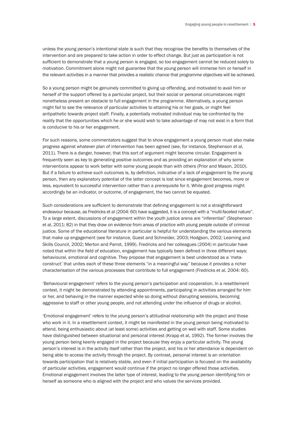unless the young person's intentional state is such that they recognise the benefits to themselves of the intervention and are prepared to take action in order to effect change. But just as participation is not sufficient to demonstrate that a young person is engaged, so too engagement cannot be reduced solely to motivation. Commitment alone might not guarantee that the young person will immerse him or herself in the relevant activities in a manner that provides a realistic chance that programme objectives will be achieved.

So a young person might be genuinely committed to giving up offending, and motivated to avail him or herself of the support offered by a particular project, but their social or personal circumstances might nonetheless present an obstacle to full engagement in the programme. Alternatively, a young person might fail to see the relevance of particular activities to attaining his or her goals, or might feel antipathetic towards project staff. Finally, a potentially motivated individual may be confronted by the reality that the opportunities which he or she would wish to take advantage of may not exist in a form that is conducive to his or her engagement.

For such reasons, some commentators suggest that to show engagement a young person must also make progress against whatever plan of intervention has been agreed (see, for instance, Stephenson et al, 2011). There is a danger, however, that this sort of argument might become circular. Engagement is frequently seen as key to generating positive outcomes and as providing an explanation of why some interventions appear to work better with some young people than with others (Prior and Mason, 2010). But if a failure to achieve such outcomes is, by definition, indicative of a lack of engagement by the young person, then any explanatory potential of the latter concept is lost since engagement becomes, more or less, equivalent to successful intervention rather than a prerequisite for it. While good progress might accordingly be an indicator, or outcome, of engagement, the two cannot be equated.

Such considerations are sufficient to demonstrate that defining engagement is not a straightforward endeavour because, as Fredricks et al (2004: 60) have suggested, it is a concept with a "multi-faceted nature". To a large extent, discussions of engagement within the youth justice arena are "inferential" (Stephenson et al, 2011: 82) in that they draw on evidence from areas of practice with young people outside of criminal justice. Some of the educational literature in particular is helpful for understanding the various elements that make up engagement (see for instance, Guest and Schneider, 2003; Hodgson, 2002; Learning and Skills Council, 2002; Merton and Parrot, 1999). Fredricks and her colleagues (2004) in particular have noted that within the field of education, engagement has typically been defined in three different ways: behavioural, emotional and cognitive. They propose that engagement is best understood as a 'metaconstruct' that unites each of these three elements "in a meaningful way" because it provides a richer characterisation of the various processes that contribute to full engagement (Fredricks et al, 2004: 60).

'Behavioural engagement' refers to the young person's participation and cooperation. In a resettlement context, it might be demonstrated by attending appointments, participating in activities arranged for him or her, and behaving in the manner expected while so doing without disrupting sessions, becoming aggressive to staff or other young people, and not attending under the influence of drugs or alcohol.

'Emotional engagement' refers to the young person's attitudinal relationship with the project and those who work in it. In a resettlement context, it might be manifested in the young person being motivated to attend, being enthusiastic about (at least some) activities and getting on well with staff. Some studies have distinguished between situational and personal interest (Krapp et al, 1992). The former involves the young person being keenly engaged in the project because they enjoy a particular activity. The young person's interest is in the activity itself rather than the project, and his or her attendance is dependent on being able to access the activity through the project. By contrast, personal interest is an orientation towards participation that is relatively stable, and even if initial participation is focused on the availability of particular activities, engagement would continue if the project no longer offered those activities. Emotional engagement involves the latter type of interest, leading to the young person identifying him or herself as someone who is aligned with the project and who values the services provided.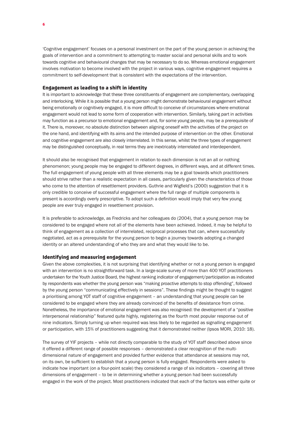'Cognitive engagement' focuses on a personal investment on the part of the young person in achieving the goals of intervention and a commitment to attempting to master social and personal skills and to work towards cognitive and behavioural changes that may be necessary to do so. Whereas emotional engagement involves motivation to become involved with the project in various ways, cognitive engagement requires a commitment to self-development that is consistent with the expectations of the intervention.

#### Engagement as leading to a shift in identity

It is important to acknowledge that these three constituents of engagement are complementary, overlapping and interlocking. While it is possible that a young person might demonstrate behavioural engagement without being emotionally or cognitively engaged, it is more difficult to conceive of circumstances where emotional engagement would not lead to some form of cooperation with intervention. Similarly, taking part in activities may function as a precursor to emotional engagement and, for some young people, may be a prerequisite of it. There is, moreover, no absolute distinction between aligning oneself with the activities of the project on the one hand, and identifying with its aims and the intended purpose of intervention on the other. Emotional and cognitive engagement are also closely interrelated. In this sense, whilst the three types of engagement may be distinguished conceptually, in real terms they are inextricably interrelated and interdependent.

It should also be recognised that engagement in relation to each dimension is not an all or nothing phenomenon; young people may be engaged to different degrees, in different ways, and at different times. The full engagement of young people with all three elements may be a goal towards which practitioners should strive rather than a realistic expectation in all cases, particularly given the characteristics of those who come to the attention of resettlement providers. Guthrie and Wigfield's (2000) suggestion that it is only credible to conceive of successful engagement where the full range of multiple components is present is accordingly overly prescriptive. To adopt such a definition would imply that very few young people are ever truly engaged in resettlement provision.

It is preferable to acknowledge, as Fredricks and her colleagues do (2004), that a young person may be considered to be engaged where not all of the elements have been achieved. Indeed, it may be helpful to think of engagement as a collection of interrelated, reciprocal processes that can, where successfully negotiated, act as a prerequisite for the young person to begin a journey towards adopting a changed identity or an altered understanding of who they are and what they would like to be.

#### Identifying and measuring engagement

Given the above complexities, it is not surprising that identifying whether or not a young person is engaged with an intervention is no straightforward task. In a large-scale survey of more than 400 YOT practitioners undertaken for the Youth Justice Board, the highest ranking indicator of engagement/participation as indicated by respondents was whether the young person was "making proactive attempts to stop offending", followed by the young person "communicating effectively in sessions". These findings might be thought to suggest a prioritising among YOT staff of cognitive engagement – an understanding that young people can be considered to be engaged where they are already convinced of the benefits of desistance from crime. Nonetheless, the importance of emotional engagement was also recognised: the development of a "positive interpersonal relationship" featured quite highly, registering as the fourth most popular response out of nine indicators. Simply turning up when required was less likely to be regarded as signalling engagement or participation, with 15% of practitioners suggesting that it demonstrated neither (Ipsos MORI, 2010: 18).

The survey of YIF projects – while not directly comparable to the study of YOT staff described above since it offered a different range of possible responses – demonstrated a clear recognition of the multidimensional nature of engagement and provided further evidence that attendance at sessions may not, on its own, be sufficient to establish that a young person is fully engaged. Respondents were asked to indicate how important (on a four-point scale) they considered a range of six indicators – covering all three dimensions of engagement – to be in determining whether a young person had been successfully engaged in the work of the project. Most practitioners indicated that each of the factors was either quite or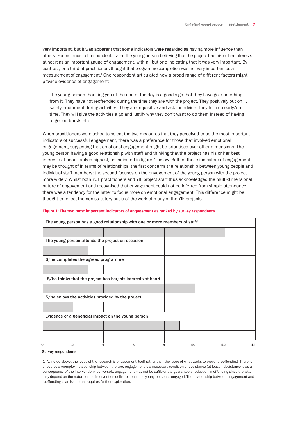very important, but it was apparent that some indicators were regarded as having more influence than others. For instance, all respondents rated the young person believing that the project had his or her interests at heart as an important gauge of engagement, with all but one indicating that it was very important. By contrast, one third of practitioners thought that programme completion was not very important as a measurement of engagement.<sup>1</sup> One respondent articulated how a broad range of different factors might provide evidence of engagement:

The young person thanking you at the end of the day is a good sign that they have got something from it. They have not reoffended during the time they are with the project. They positively put on … safety equipment during activities. They are inquisitive and ask for advice. They turn up early/on time. They will give the activities a go and justify why they don't want to do them instead of having anger outbursts etc.

When practitioners were asked to select the two measures that they perceived to be the most important indicators of successful engagement, there was a preference for those that involved emotional engagement, suggesting that emotional engagement might be prioritised over other dimensions. The young person having a good relationship with staff and thinking that the project has his or her best interests at heart ranked highest, as indicated in figure 1 below. Both of these indicators of engagement may be thought of in terms of relationships: the first concerns the relationship between young people and individual staff members; the second focuses on the engagement of the young person with the project more widely. Whilst both YOT practitioners and YIF project staff thus acknowledged the multi-dimensional nature of engagement and recognised that engagement could not be inferred from simple attendance, there was a tendency for the latter to focus more on emotional engagement. This difference might be thought to reflect the non-statutory basis of the work of many of the YIF projects.

| The young person has a good relationship with one or more members of staff |                                                             |  |   |   |          |    |
|----------------------------------------------------------------------------|-------------------------------------------------------------|--|---|---|----------|----|
|                                                                            |                                                             |  |   |   |          |    |
|                                                                            | The young person attends the project on occasion            |  |   |   |          |    |
|                                                                            |                                                             |  |   |   |          |    |
|                                                                            | S/he completes the agreed programme                         |  |   |   |          |    |
|                                                                            |                                                             |  |   |   |          |    |
|                                                                            | S/he thinks that the project has her/his interests at heart |  |   |   |          |    |
|                                                                            |                                                             |  |   |   |          |    |
|                                                                            | S/he enjoys the activities provided by the project          |  |   |   |          |    |
|                                                                            |                                                             |  |   |   |          |    |
|                                                                            | Evidence of a beneficial impact on the young person         |  |   |   |          |    |
|                                                                            |                                                             |  |   |   |          |    |
|                                                                            |                                                             |  |   |   |          |    |
| 0                                                                          | $\mathfrak{p}$                                              |  | 6 | 8 | 10<br>12 | 14 |
| Survey respondents                                                         |                                                             |  |   |   |          |    |

#### **Figure 1: The two most important indicators of engagement as ranked by survey respondents**

1 As noted above, the focus of the research is engagement itself rather than the issue of what works to prevent reoffending. There is of course a (complex) relationship between the two: engagement is a necessary condition of desistance (at least if desistance is as a consequence of the intervention); conversely, engagement may not be sufficient to guarantee a reduction in offending since the latter may depend on the nature of the intervention delivered once the young person is engaged. The relationship between engagement and reoffending is an issue that requires further exploration.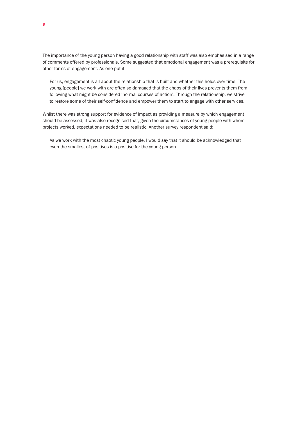The importance of the young person having a good relationship with staff was also emphasised in a range of comments offered by professionals. Some suggested that emotional engagement was a prerequisite for other forms of engagement. As one put it:

For us, engagement is all about the relationship that is built and whether this holds over time. The young [people] we work with are often so damaged that the chaos of their lives prevents them from following what might be considered 'normal courses of action'. Through the relationship, we strive to restore some of their self-confidence and empower them to start to engage with other services.

Whilst there was strong support for evidence of impact as providing a measure by which engagement should be assessed, it was also recognised that, given the circumstances of young people with whom projects worked, expectations needed to be realistic. Another survey respondent said:

As we work with the most chaotic young people, I would say that it should be acknowledged that even the smallest of positives is a positive for the young person.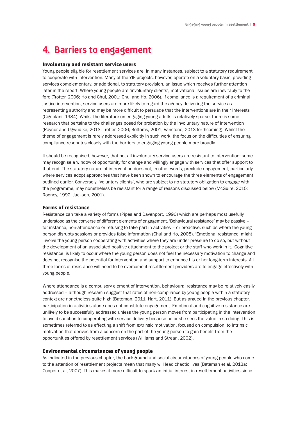### **4. Barriers to engagement**

#### Involuntary and resistant service users

Young people eligible for resettlement services are, in many instances, subject to a statutory requirement to cooperate with intervention. Many of the YIF projects, however, operate on a voluntary basis, providing services complementary, or additional, to statutory provision, an issue which receives further attention later in the report. Where young people are 'involuntary clients', motivational issues are inevitably to the fore (Trotter, 2006; Ho and Chui, 2001; Chui and Ho, 2006). If compliance is a requirement of a criminal justice intervention, service users are more likely to regard the agency delivering the service as representing authority and may be more difficult to persuade that the interventions are in their interests (Cignolani, 1984). Whilst the literature on engaging young adults is relatively sparse, there is some research that pertains to the challenges posed for probation by the involuntary nature of intervention (Raynor and Ugwudike, 2013; Trotter, 2006; Bottoms, 2001; Vanstone, 2013 forthcoming). Whilst the theme of engagement is rarely addressed explicitly in such work, the focus on the difficulties of ensuring compliance resonates closely with the barriers to engaging young people more broadly.

It should be recognised, however, that not all involuntary service users are resistant to intervention: some may recognise a window of opportunity for change and willingly engage with services that offer support to that end. The statutory nature of intervention does not, in other words, preclude engagement, particularly where services adopt approaches that have been shown to encourage the three elements of engagement outlined earlier. Conversely, 'voluntary clients', who are subject to no statutory obligation to engage with the programme, may nonetheless be resistant for a range of reasons discussed below (McGuire, 2010; Rooney, 1992; Jackson, 2001).

#### Forms of resistance

Resistance can take a variety of forms (Pipes and Davenport, 1990) which are perhaps most usefully understood as the converse of different elements of engagement. 'Behavioural resistance' may be passive – for instance, non-attendance or refusing to take part in activities – or proactive, such as where the young person disrupts sessions or provides false information (Chui and Ho, 2008). 'Emotional resistance' might involve the young person cooperating with activities where they are under pressure to do so, but without the development of an associated positive attachment to the project or the staff who work in it. 'Cognitive resistance' is likely to occur where the young person does not feel the necessary motivation to change and does not recognise the potential for intervention and support to enhance his or her long-term interests. All three forms of resistance will need to be overcome if resettlement providers are to engage effectively with young people.

Where attendance is a compulsory element of intervention, behavioural resistance may be relatively easily addressed – although research suggest that rates of non-compliance by young people within a statutory context are nonetheless quite high (Bateman, 2011; Hart, 2011). But as argued in the previous chapter, participation in activities alone does not constitute engagement. Emotional and cognitive resistance are unlikely to be successfully addressed unless the young person moves from participating in the intervention to avoid sanction to cooperating with service delivery because he or she sees the value in so doing. This is sometimes referred to as effecting a shift from extrinsic motivation, focused on compulsion, to intrinsic motivation that derives from a concern on the part of the young person to gain benefit from the opportunities offered by resettlement services (Williams and Strean, 2002).

#### Environmental circumstances of young people

As indicated in the previous chapter, the background and social circumstances of young people who come to the attention of resettlement projects mean that many will lead chaotic lives (Bateman et al, 2013a; Cooper et al, 2007). This makes it more difficult to spark an initial interest in resettlement activities since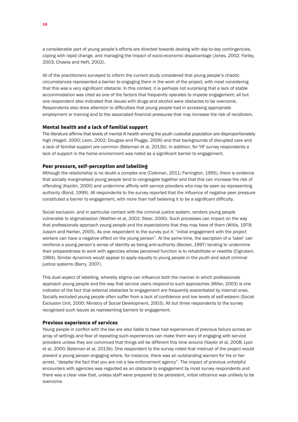a considerable part of young people's efforts are directed towards dealing with day-to-day contingencies, coping with rapid change, and managing the impact of socio-economic disadvantage (Jones, 2002; Farley, 2003; Chawla and Heft, 2002).

All of the practitioners surveyed to inform the current study considered that young people's chaotic circumstances represented a barrier to engaging them in the work of the project, with most considering that this was a very significant obstacle. In this context, it is perhaps not surprising that a lack of stable accommodation was cited as one of the factors that frequently operates to impede engagement; all but one respondent also indicated that issues with drugs and alcohol were obstacles to be overcome. Respondents also drew attention to difficulties that young people had in accessing appropriate employment or training and to the associated financial pressures that may increase the risk of recidivism.

#### Mental health and a lack of familial support

The literature affirms that levels of mental ill health among the youth custodial population are disproportionately high (Hagell, 2000; Leon, 2002; Douglas and Plugge, 2006) and that backgrounds of disrupted care and a lack of familial support are common (Bateman et al, 2013b). In addition, for YIF survey respondents a lack of support in the home environment was noted as a significant barrier to engagement.

#### Peer pressure, self-perception and labelling

Although the relationship is no doubt a complex one (Coleman, 2011; Farrington, 1995), there is evidence that socially marginalised young people tend to congregate together and that this can increase the risk of offending (Kazdin, 2000) and undermine affinity with service providers who may be seen as representing authority (Bond, 1999). All respondents to the survey reported that the influence of negative peer pressure constituted a barrier to engagement, with more than half believing it to be a significant difficulty.

Social exclusion, and in particular contact with the criminal justice system, renders young people vulnerable to stigmatisation (Walther et al, 2002; Steer, 2000). Such processes can impact on the way that professionals approach young people and the expectations that they may have of them (Willis, 1978; Jussim and Harber, 2005). As one respondent to the survey put it: "initial engagement with the project workers can have a negative effect on the young person". At the same time, the ascription of a 'label' can reinforce a young person's sense of identity as being anti-authority (Becker, 1997) tending to undermine their preparedness to work with agencies whose perceived function is to rehabilitate or resettle (Cignolani, 1984). Similar dynamics would appear to apply equally to young people in the youth and adult criminal justice systems (Barry, 2007).

This dual aspect of labelling, whereby stigma can influence both the manner in which professionals approach young people and the way that service users respond to such approaches (Miller, 2003) is one indicator of the fact that external obstacles to engagement are frequently exacerbated by internal ones. Socially excluded young people often suffer from a lack of confidence and low levels of self-esteem (Social Exclusion Unit, 2000; Ministry of Social Development, 2003). All but three respondents to the survey recognised such issues as representing barriers to engagement.

#### Previous experience of services

Young people in conflict with the law are also liable to have had experiences of previous failure across an array of settings and fear of repeating such experiences can make them wary of engaging with service providers unless they are convinced that things will be different this time around (Naylor et al, 2008; Lyon et al, 2000; Bateman et al, 2013b). One respondent to the survey noted that mistrust of the project would prevent a young person engaging where, for instance, there was an outstanding warrant for his or her arrest, "despite the fact that you are not a law enforcement agency". The impact of previous unhelpful encounters with agencies was regarded as an obstacle to engagement by most survey respondents and there was a clear view that, unless staff were prepared to be persistent, initial reticence was unlikely to be overcome.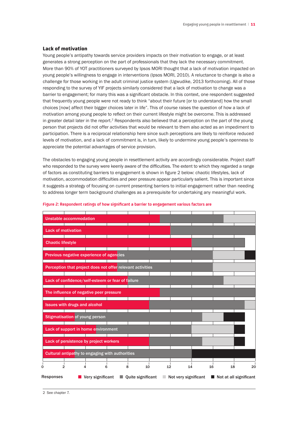#### Lack of motivation

Young people's antipathy towards service providers impacts on their motivation to engage, or at least generates a strong perception on the part of professionals that they lack the necessary commitment. More than 90% of YOT practitioners surveyed by Ipsos MORI thought that a lack of motivation impacted on young people's willingness to engage in interventions (Ipsos MORI, 2010). A reluctance to change is also a challenge for those working in the adult criminal justice system (Ugwudike, 2013 forthcoming). All of those responding to the survey of YIF projects similarly considered that a lack of motivation to change was a barrier to engagement; for many this was a significant obstacle. In this context, one respondent suggested that frequently young people were not ready to think "about their future [or to understand] how the small choices [now] affect their bigger choices later in life". This of course raises the question of how a lack of motivation among young people to reflect on their current lifestyle might be overcome. This is addressed in greater detail later in the report.<sup>2</sup> Respondents also believed that a perception on the part of the young person that projects did not offer activities that would be relevant to them also acted as an impediment to participation. There is a reciprocal relationship here since such perceptions are likely to reinforce reduced levels of motivation, and a lack of commitment is, in turn, likely to undermine young people's openness to appreciate the potential advantages of service provision.

The obstacles to engaging young people in resettlement activity are accordingly considerable. Project staff who responded to the survey were keenly aware of the difficulties. The extent to which they regarded a range of factors as constituting barriers to engagement is shown in figure 2 below: chaotic lifestyles, lack of motivation, accommodation difficulties and peer pressure appear particularly salient. This is important since it suggests a strategy of focusing on current presenting barriers to initial engagement rather than needing to address longer term background challenges as a prerequisite for undertaking any meaningful work.

|                  |                           | <b>Unstable accommodation</b>                              |                  |   |                   |    |                                     |    |    |                        |
|------------------|---------------------------|------------------------------------------------------------|------------------|---|-------------------|----|-------------------------------------|----|----|------------------------|
|                  | <b>Lack of motivation</b> |                                                            |                  |   |                   |    |                                     |    |    |                        |
|                  | <b>Chaotic lifestyle</b>  |                                                            |                  |   |                   |    |                                     |    |    |                        |
|                  |                           | Previous negative experience of agencies                   |                  |   |                   |    |                                     |    |    |                        |
|                  |                           | Perception that project does not offer relevant activities |                  |   |                   |    |                                     |    |    |                        |
|                  |                           | Lack of confidence/self-esteem or fear of failure          |                  |   |                   |    |                                     |    |    |                        |
|                  |                           | The influence of negative peer pressure                    |                  |   |                   |    |                                     |    |    |                        |
|                  |                           | <b>Issues with drugs and alcohol</b>                       |                  |   |                   |    |                                     |    |    |                        |
|                  |                           | <b>Stigmatisation of young person</b>                      |                  |   |                   |    |                                     |    |    |                        |
|                  |                           | Lack of support in home environment                        |                  |   |                   |    |                                     |    |    |                        |
|                  |                           | Lack of persistence by project workers                     |                  |   |                   |    |                                     |    |    |                        |
|                  |                           | <b>Cultural antipathy to engaging with authorities</b>     |                  |   |                   |    |                                     |    |    |                        |
| 0                | $\overline{2}$            | 4                                                          | 6                | 8 | 10                | 12 | 14                                  | 16 | 18 | 20                     |
| <b>Responses</b> |                           |                                                            | Very significant |   | Quite significant |    | $\blacksquare$ Not very significant |    |    | Not at all significant |

#### **Figure 2: Respondent ratings of how significant a barrier to engagement various factors are**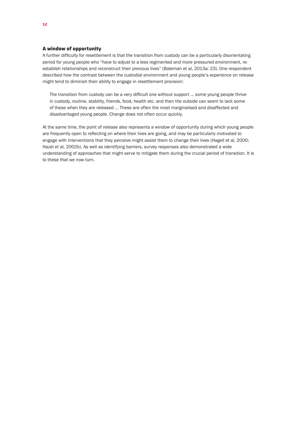#### A window of opportunity

A further difficulty for resettlement is that the transition from custody can be a particularly disorientating period for young people who "have to adjust to a less regimented and more pressured environment, reestablish relationships and reconstruct their previous lives" (Bateman et al, 2013a: 23). One respondent described how the contrast between the custodial environment and young people's experience on release might tend to diminish their ability to engage in resettlement provision:

The transition from custody can be a very difficult one without support … some young people thrive in custody, routine, stability, friends, food, health etc. and then the outside can seem to lack some of these when they are released … These are often the most marginalised and disaffected and disadvantaged young people. Change does not often occur quickly.

At the same time, the point of release also represents a window of opportunity during which young people are frequently open to reflecting on where their lives are going, and may be particularly motivated to engage with interventions that they perceive might assist them to change their lives (Hagell et al, 2000; Hazel et al, 2002b). As well as identifying barriers, survey responses also demonstrated a wide understanding of approaches that might serve to mitigate them during the crucial period of transition. It is to these that we now turn.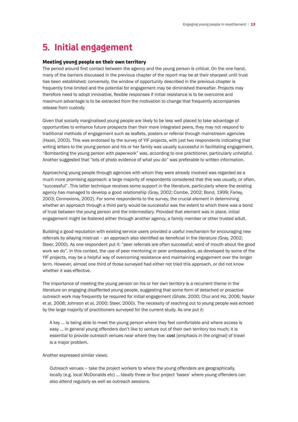### **5. Initial engagement**

#### Meeting young people on their own territory

The period around first contact between the agency and the young person is critical. On the one hand, many of the barriers discussed in the previous chapter of the report may be at their sharpest until trust has been established; conversely, the window of opportunity described in the previous chapter is frequently time limited and the potential for engagement may be diminished thereafter. Projects may therefore need to adopt innovative, flexible responses if initial resistance is to be overcome and maximum advantage is to be extracted from the motivation to change that frequently accompanies release from custody.

Given that socially marginalised young people are likely to be less well placed to take advantage of opportunities to enhance future prospects than their more integrated peers, they may not respond to traditional methods of engagement such as leaflets, posters or referral through mainstream agencies (Hazel, 2003). This was endorsed by the survey of YIF projects, with just two respondents indicating that writing letters to the young person and his or her family was usually successful in facilitating engagement. "Bombarding the young person with paperwork" was, according to one practitioner, particularly unhelpful. Another suggested that "lots of photo evidence of what you do" was preferable to written information.

Approaching young people through agencies with whom they were already involved was regarded as a much more promising approach: a large majority of respondents considered that this was usually, or often, "successful". This latter technique receives some support in the literature, particularly where the existing agency has managed to develop a good relationship (Gray, 2002; Combe, 2002; Bond, 1999; Farley, 2003; Connexions, 2002). For some respondents to the survey, the crucial element in determining whether an approach through a third party would be successful was the extent to which there was a bond of trust between the young person and the intermediary. Provided that element was in place, initial engagement might be fostered either through another agency, a family member or other trusted adult.

Building a good reputation with existing service users provided a useful mechanism for encouraging new referrals by allaying mistrust – an approach also identified as beneficial in the literature (Gray, 2002; Steer, 2000). As one respondent put it: "peer referrals are often successful; word of mouth about the good work we do". In this context, the use of peer mentoring or peer ambassadors, as developed by some of the YIF projects, may be a helpful way of overcoming resistance and maintaining engagement over the longer term. However, almost one third of those surveyed had either not tried this approach, or did not know whether it was effective.

The importance of meeting the young person on his or her own territory is a recurrent theme in the literature on engaging disaffected young people, suggesting that some form of detached or proactive outreach work may frequently be required for initial engagement (Ghate, 2000; Chui and Ho, 2006; Naylor et al, 2008; Johnson et al, 2000; Steer, 2000). The necessity of reaching out to young people was echoed by the large majority of practitioners surveyed for the current study. As one put it:

A key … is being able to meet the young person where they feel comfortable and where access is easy … in general young offenders don't like to venture out of their own territory too much; it is essential to provide outreach venues near where they live: cost [*emphasis in the original*] of travel is a major problem.

Another expressed similar views:

Outreach venues – take the project workers to where the young offenders are geographically, locally (e.g. local McDonalds etc) … Ideally three or four project 'bases' where young offenders can also attend regularly as well as outreach sessions.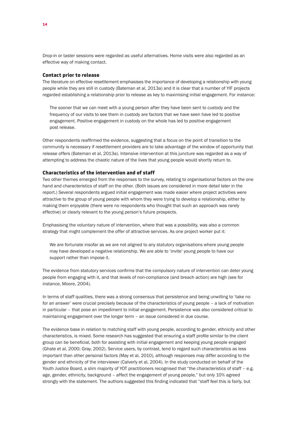Drop-in or taster sessions were regarded as useful alternatives. Home visits were also regarded as an effective way of making contact.

#### Contact prior to release

The literature on effective resettlement emphasises the importance of developing a relationship with young people while they are still in custody (Bateman et al, 2013a) and it is clear that a number of YIF projects regarded establishing a relationship prior to release as key to maximising initial engagement. For instance:

The sooner that we can meet with a young person after they have been sent to custody and the frequency of our visits to see them in custody are factors that we have seen have led to positive engagement. Positive engagement in custody on the whole has led to positive engagement post release.

Other respondents reaffirmed the evidence, suggesting that a focus on the point of transition to the community is necessary if resettlement providers are to take advantage of the window of opportunity that release offers (Bateman et al, 2013a). Intensive intervention at this juncture was regarded as a way of attempting to address the chaotic nature of the lives that young people would shortly return to.

#### Characteristics of the intervention and of staff

Two other themes emerged from the responses to the survey, relating to organisational factors on the one hand and characteristics of staff on the other. (Both issues are considered in more detail later in the report.) Several respondents argued initial engagement was made easier where project activities were attractive to the group of young people with whom they were trying to develop a relationship, either by making them enjoyable (there were no respondents who thought that such an approach was rarely effective) or clearly relevant to the young person's future prospects.

Emphasising the voluntary nature of intervention, where that was a possibility, was also a common strategy that might complement the offer of attractive services. As one project worker put it:

We are fortunate insofar as we are not aligned to any statutory organisations where young people may have developed a negative relationship. We are able to 'invite' young people to have our support rather than impose it.

The evidence from statutory services confirms that the compulsory nature of intervention can deter young people from engaging with it, and that levels of non-compliance (and breach action) are high (see for instance, Moore, 2004).

In terms of staff qualities, there was a strong consensus that persistence and being unwilling to 'take no for an answer' were crucial precisely because of the characteristics of young people – a lack of motivation in particular – that pose an impediment to initial engagement. Persistence was also considered critical to maintaining engagement over the longer term – an issue considered in due course.

The evidence base in relation to matching staff with young people, according to gender, ethnicity and other characteristics, is mixed. Some research has suggested that ensuring a staff profile similar to the client group can be beneficial, both for assisting with initial engagement and keeping young people engaged (Ghate et al, 2000; Gray, 2002). Service users, by contrast, tend to regard such characteristics as less important than other personal factors (May et al, 2010), although responses may differ according to the gender and ethnicity of the interviewer (Calverly et al, 2004). In the study conducted on behalf of the Youth Justice Board, a slim majority of YOT practitioners recognised that "the characteristics of staff – e.g. age, gender, ethnicity, background – affect the engagement of young people," but only 10% agreed strongly with the statement. The authors suggested this finding indicated that "staff feel this is fairly, but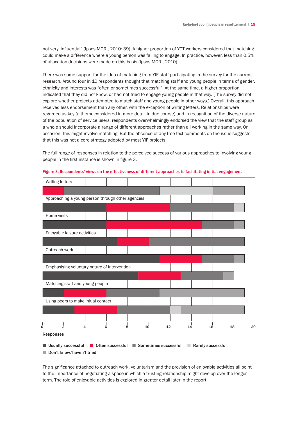not very, influential" (Ipsos MORI, 2010: 39). A higher proportion of YOT workers considered that matching could make a difference where a young person was failing to engage. In practice, however, less than 0.5% of allocation decisions were made on this basis (Ipsos MORI, 2010).

There was some support for the idea of matching from YIF staff participating in the survey for the current research. Around four in 10 respondents thought that matching staff and young people in terms of gender, ethnicity and interests was "often or sometimes successful". At the same time, a higher proportion indicated that they did not know, or had not tried to engage young people in that way. (The survey did not explore whether projects attempted to match staff and young people in other ways.) Overall, this approach received less endorsement than any other, with the exception of writing letters. Relationships were regarded as key (a theme considered in more detail in due course) and in recognition of the diverse nature of the population of service users, respondents overwhelmingly endorsed the view that the staff group as a whole should incorporate a range of different approaches rather than all working in the same way. On occasion, this might involve matching. But the absence of any free text comments on the issue suggests that this was not a core strategy adopted by most YIF projects.

The full range of responses in relation to the perceived success of various approaches to involving young people in the first instance is shown in figure 3.



**Figure 3: Respondents' views on the effectiveness of different approaches to facilitating initial engagement**

■ Usually successful ■ Often successful ■ Sometimes successful ■ Rarely successful

■ Don't know/haven't tried

The significance attached to outreach work, voluntarism and the provision of enjoyable activities all point to the importance of negotiating a space in which a trusting relationship might develop over the longer term. The role of enjoyable activities is explored in greater detail later in the report.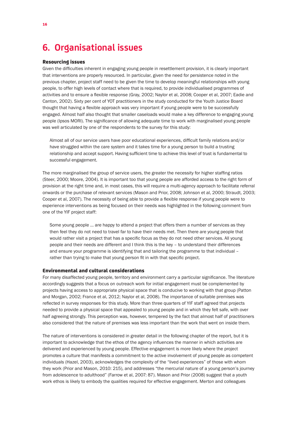### **6. Organisational issues**

#### Resourcing issues

Given the difficulties inherent in engaging young people in resettlement provision, it is clearly important that interventions are properly resourced. In particular, given the need for persistence noted in the previous chapter, project staff need to be given the time to develop meaningful relationships with young people, to offer high levels of contact where that is required, to provide individualised programmes of activities and to ensure a flexible response (Gray, 2002; Naylor et al, 2008; Cooper et al, 2007; Eadie and Canton, 2002). Sixty per cent of YOT practitioners in the study conducted for the Youth Justice Board thought that having a flexible approach was very important if young people were to be successfully engaged. Almost half also thought that smaller caseloads would make a key difference to engaging young people (Ipsos MORI). The significance of allowing adequate time to work with marginalised young people was well articulated by one of the respondents to the survey for this study:

Almost all of our service users have poor educational experiences, difficult family relations and/or have struggled within the care system and it takes time for a young person to build a trusting relationship and accept support. Having sufficient time to achieve this level of trust is fundamental to successful engagement.

The more marginalised the group of service users, the greater the necessity for higher staffing ratios (Steer, 2000; Moore, 2004). It is important too that young people are afforded access to the right form of provision at the right time and, in most cases, this will require a multi-agency approach to facilitate referral onwards or the purchase of relevant services (Mason and Prior, 2008; Johnson et al, 2000; Straudt, 2003; Cooper et al, 2007). The necessity of being able to provide a flexible response if young people were to experience interventions as being focused on their needs was highlighted in the following comment from one of the YIF project staff:

Some young people ... are happy to attend a project that offers them a number of services as they then feel they do not need to travel far to have their needs met. Then there are young people that would rather visit a project that has a specific focus as they do not need other services. All young people and their needs are different and I think this is the key – to understand their differences and ensure your programme is identifying that and tailoring the programme to that individual – rather than trying to make that young person fit in with that specific project.

#### Environmental and cultural considerations

For many disaffected young people, territory and environment carry a particular significance. The literature accordingly suggests that a focus on outreach work for initial engagement must be complemented by projects having access to appropriate physical space that is conducive to working with that group (Patton and Morgan, 2002; France et al, 2012; Naylor et al, 2008). The importance of suitable premises was reflected in survey responses for this study. More than three quarters of YIF staff agreed that projects needed to provide a physical space that appealed to young people and in which they felt safe, with over half agreeing strongly. This perception was, however, tempered by the fact that almost half of practitioners also considered that the nature of premises was less important than the work that went on inside them.

The nature of interventions is considered in greater detail in the following chapter of the report, but it is important to acknowledge that the ethos of the agency influences the manner in which activities are delivered and experienced by young people. Effective engagement is more likely where the project promotes a culture that manifests a commitment to the active involvement of young people as competent individuals (Hazel, 2003), acknowledges the complexity of the "lived experiences" of those with whom they work (Prior and Mason, 2010: 215), and addresses "the mercurial nature of a young person's journey from adolescence to adulthood" (Farrow et al, 2007: 87). Mason and Prior (2008) suggest that a youth work ethos is likely to embody the qualities required for effective engagement. Merton and colleagues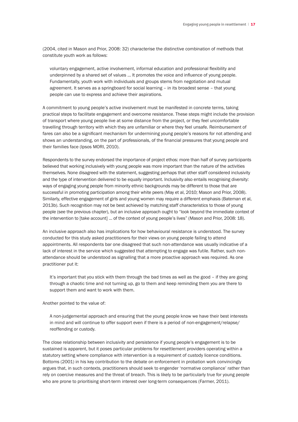(2004, cited in Mason and Prior, 2008: 32) characterise the distinctive combination of methods that constitute youth work as follows:

voluntary engagement, active involvement, informal education and professional flexibility and underpinned by a shared set of values ... It promotes the voice and influence of young people. Fundamentally, youth work with individuals and groups stems from negotiation and mutual agreement. It serves as a springboard for social learning – in its broadest sense – that young people can use to express and achieve their aspirations.

A commitment to young people's active involvement must be manifested in concrete terms, taking practical steps to facilitate engagement and overcome resistance. These steps might include the provision of transport where young people live at some distance from the project, or they feel uncomfortable travelling through territory with which they are unfamiliar or where they feel unsafe. Reimbursement of fares can also be a significant mechanism for undermining young people's reasons for not attending and shows an understanding, on the part of professionals, of the financial pressures that young people and their families face (Ipsos MORI, 2010).

Respondents to the survey endorsed the importance of project ethos: more than half of survey participants believed that working inclusively with young people was more important than the nature of the activities themselves. None disagreed with the statement, suggesting perhaps that other staff considered inclusivity and the type of intervention delivered to be equally important. Inclusivity also entails recognising diversity: ways of engaging young people from minority ethnic backgrounds may be different to those that are successful in promoting participation among their white peers (May et al, 2010; Mason and Prior, 2008). Similarly, effective engagement of girls and young women may require a different emphasis (Bateman et al, 2013b). Such recognition may not be best achieved by matching staff characteristics to those of young people (see the previous chapter), but an inclusive approach ought to "look beyond the immediate context of the intervention to [take account] … of the context of young people's lives" (Mason and Prior, 2008: 18).

An inclusive approach also has implications for how behavioural resistance is understood. The survey conducted for this study asked practitioners for their views on young people failing to attend appointments. All respondents bar one disagreed that such non-attendance was usually indicative of a lack of interest in the service which suggested that attempting to engage was futile. Rather, such nonattendance should be understood as signalling that a more proactive approach was required. As one practitioner put it:

It's important that you stick with them through the bad times as well as the good - if they are going through a chaotic time and not turning up, go to them and keep reminding them you are there to support them and want to work with them.

Another pointed to the value of:

A non-judgemental approach and ensuring that the young people know we have their best interests in mind and will continue to offer support even if there is a period of non-engagement/relapse/ reoffending or custody.

The close relationship between inclusivity and persistence if young people's engagement is to be sustained is apparent, but it poses particular problems for resettlement providers operating within a statutory setting where compliance with intervention is a requirement of custody licence conditions. Bottoms (2001) in his key contribution to the debate on enforcement in probation work convincingly argues that, in such contexts, practitioners should seek to engender 'normative compliance' rather than rely on coercive measures and the threat of breach. This is likely to be particularly true for young people who are prone to prioritising short-term interest over long-term consequences (Farmer, 2011).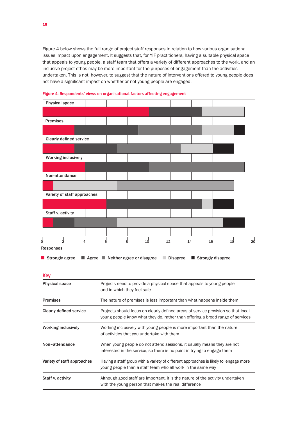Figure 4 below shows the full range of project staff responses in relation to how various organisational issues impact upon engagement. It suggests that, for YIF practitioners, having a suitable physical space that appeals to young people, a staff team that offers a variety of different approaches to the work, and an inclusive project ethos may be more important for the purposes of engagement than the activities undertaken. This is not, however, to suggest that the nature of interventions offered to young people does not have a significant impact on whether or not young people are engaged.



**Figure 4: Respondents' views on organisational factors affecting engagement**

|  | <b>Strongly agree</b> $\blacksquare$ Agree $\blacksquare$ Neither agree or disagree | Disagree ■ Strongly disagree |
|--|-------------------------------------------------------------------------------------|------------------------------|

| <b>Key</b>                     |                                                                                                                                                                     |
|--------------------------------|---------------------------------------------------------------------------------------------------------------------------------------------------------------------|
| <b>Physical space</b>          | Projects need to provide a physical space that appeals to young people<br>and in which they feel safe                                                               |
| <b>Premises</b>                | The nature of premises is less important than what happens inside them                                                                                              |
| <b>Clearly defined service</b> | Projects should focus on clearly defined areas of service provision so that local<br>young people know what they do, rather than offering a broad range of services |
| <b>Working inclusively</b>     | Working inclusively with young people is more important than the nature<br>of activities that you undertake with them                                               |
| Non-attendance                 | When young people do not attend sessions, it usually means they are not<br>interested in the service, so there is no point in trying to engage them                 |
| Variety of staff approaches    | Having a staff group with a variety of different approaches is likely to engage more<br>young people than a staff team who all work in the same way                 |
| Staff v. activity              | Although good staff are important, it is the nature of the activity undertaken<br>with the young person that makes the real difference                              |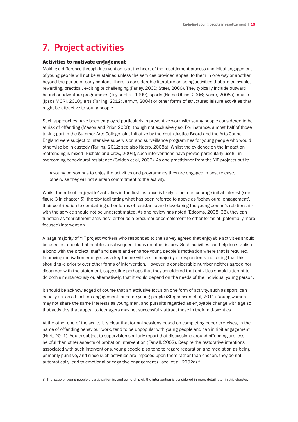# **7. Project activities**

#### Activities to motivate engagement

Making a difference through intervention is at the heart of the resettlement process and initial engagement of young people will not be sustained unless the services provided appeal to them in one way or another beyond the period of early contact. There is considerable literature on using activities that are enjoyable, rewarding, practical, exciting or challenging (Farley, 2000; Steer, 2000). They typically include outward bound or adventure programmes (Taylor et al, 1999), sports (Home Office, 2006; Nacro, 2008a), music (Ipsos MORI, 2010), arts (Tarling, 2012; Jermyn, 2004) or other forms of structured leisure activities that might be attractive to young people.

Such approaches have been employed particularly in preventive work with young people considered to be at risk of offending (Mason and Prior, 2008), though not exclusively so. For instance, almost half of those taking part in the Summer Arts College joint initiative by the Youth Justice Board and the Arts Council England were subject to intensive supervision and surveillance programmes for young people who would otherwise be in custody (Tarling, 2012; see also Nacro, 2008a). Whilst the evidence on the impact on reoffending is mixed (Nichols and Crow, 2004), such interventions have proved particularly useful in overcoming behavioural resistance (Golden et al, 2002). As one practitioner from the YIF projects put it:

A young person has to enjoy the activities and programmes they are engaged in post release, otherwise they will not sustain commitment to the activity.

Whilst the role of 'enjoyable' activities in the first instance is likely to be to encourage initial interest (see figure 3 in chapter 5), thereby facilitating what has been referred to above as 'behavioural engagement', their contribution to combatting other forms of resistance and developing the young person's relationship with the service should not be underestimated. As one review has noted (Edcoms, 2008: 38), they can function as "enrichment activities" either as a precursor or complement to other forms of (potentially more focused) intervention.

A large majority of YIF project workers who responded to the survey agreed that enjoyable activities should be used as a hook that enables a subsequent focus on other issues. Such activities can help to establish a bond with the project, staff and peers and enhance young people's motivation where that is required. Improving motivation emerged as a key theme with a slim majority of respondents indicating that this should take priority over other forms of intervention. However, a considerable number neither agreed nor disagreed with the statement, suggesting perhaps that they considered that activities should attempt to do both simultaneously or, alternatively, that it would depend on the needs of the individual young person.

It should be acknowledged of course that an exclusive focus on one form of activity, such as sport, can equally act as a block on engagement for some young people (Stephenson et al, 2011). Young women may not share the same interests as young men, and pursuits regarded as enjoyable change with age so that activities that appeal to teenagers may not successfully attract those in their mid-twenties.

At the other end of the scale, it is clear that formal sessions based on completing paper exercises, in the name of offending behaviour work, tend to be unpopular with young people and can inhibit engagement (Hart, 2011). Adults subject to supervision similarly report that discussions around offending are less helpful than other aspects of probation intervention (Farrall, 2002). Despite the restorative intentions associated with such interventions, young people also tend to regard reparation and mediation as being primarily punitive, and since such activities are imposed upon them rather than chosen, they do not automatically lead to emotional or cognitive engagement (Hazel et al, 2002a).<sup>3</sup>

3 The issue of young people's participation in, and ownership of, the intervention is considered in more detail later in this chapter.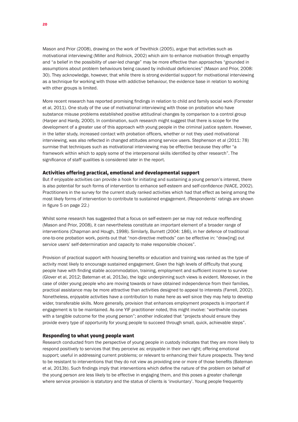Mason and Prior (2008), drawing on the work of Trevithick (2005), argue that activities such as motivational interviewing (Miller and Rollnick, 2002) which aim to enhance motivation through empathy and "a belief in the possibility of user-led change" may be more effective than approaches "grounded in assumptions about problem behaviours being caused by individual deficiencies" (Mason and Prior, 2008: 30). They acknowledge, however, that while there is strong evidential support for motivational interviewing as a technique for working with those with addictive behaviour, the evidence base in relation to working with other groups is limited.

More recent research has reported promising findings in relation to child and family social work (Forrester et al, 2011). One study of the use of motivational interviewing with those on probation who have substance misuse problems established positive attitudinal changes by comparison to a control group (Harper and Hardy, 2000). In combination, such research might suggest that there is scope for the development of a greater use of this approach with young people in the criminal justice system. However, in the latter study, increased contact with probation officers, whether or not they used motivational interviewing, was also reflected in changed attitudes among service users. Stephenson et al (2011: 78) surmise that techniques such as motivational interviewing may be effective because they offer "a framework within which to apply some of the interpersonal skills identified by other research". The significance of staff qualities is considered later in the report.

#### Activities offering practical, emotional and developmental support

But if enjoyable activities can provide a hook for initiating and sustaining a young person's interest, there is also potential for such forms of intervention to enhance self-esteem and self-confidence (NIACE, 2002). Practitioners in the survey for the current study ranked activities which had that effect as being among the most likely forms of intervention to contribute to sustained engagement. (Respondents' ratings are shown in figure 5 on page 22.)

Whilst some research has suggested that a focus on self-esteem per se may not reduce reoffending (Mason and Prior, 2008), it can nevertheless constitute an important element of a broader range of interventions (Chapman and Hough, 1998). Similarly, Burnett (2004: 186), in her defence of traditional one-to-one probation work, points out that "non-directive methods" can be effective in: "draw[ing] out service users' self-determination and capacity to make responsible choices".

Provision of practical support with housing benefits or education and training was ranked as the type of activity most likely to encourage sustained engagement. Given the high levels of difficulty that young people have with finding stable accommodation, training, employment and sufficient income to survive (Glover et al, 2012; Bateman et al, 2013a), the logic underpinning such views is evident. Moreover, in the case of older young people who are moving towards or have obtained independence from their families, practical assistance may be more attractive than activities designed to appeal to interests (Farrell, 2002). Nonetheless, enjoyable activities have a contribution to make here as well since they may help to develop wider, transferable skills. More generally, provision that enhances employment prospects is important if engagement is to be maintained. As one YIF practitioner noted, this might involve: "worthwhile courses with a tangible outcome for the young person"; another indicated that "projects should ensure they provide every type of opportunity for young people to succeed through small, quick, achievable steps".

#### Responding to what young people want

Research conducted from the perspective of young people in custody indicates that they are more likely to respond positively to services that they perceive as: enjoyable in their own right; offering emotional support; useful in addressing current problems; or relevant to enhancing their future prospects. They tend to be resistant to interventions that they do not view as providing one or more of those benefits (Bateman et al, 2013b). Such findings imply that interventions which define the nature of the problem on behalf of the young person are less likely to be effective in engaging them, and this poses a greater challenge where service provision is statutory and the status of clients is 'involuntary'. Young people frequently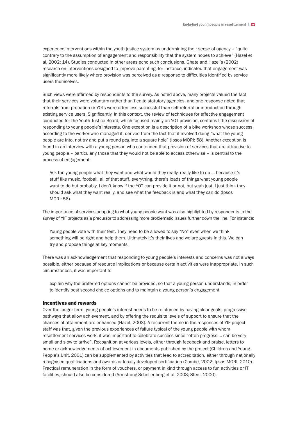experience interventions within the youth justice system as undermining their sense of agency – "quite contrary to the assumption of engagement and responsibility that the system hopes to achieve" (Hazel et al, 2002: 14). Studies conducted in other areas echo such conclusions. Ghate and Hazel's (2002) research on interventions designed to improve parenting, for instance, indicated that engagement was significantly more likely where provision was perceived as a response to difficulties identified by service users themselves.

Such views were affirmed by respondents to the survey. As noted above, many projects valued the fact that their services were voluntary rather than tied to statutory agencies, and one response noted that referrals from probation or YOTs were often less successful than self-referral or introduction through existing service users. Significantly, in this context, the review of techniques for effective engagement conducted for the Youth Justice Board, which focused mainly on YOT provision, contains little discussion of responding to young people's interests. One exception is a description of a bike workshop whose success, according to the worker who managed it, derived from the fact that it involved doing "what the young people are into, not try and put a round peg into a square hole" (Ipsos MORI: 58). Another exception is found in an interview with a young person who contended that provision of services that are attractive to young people – particularly those that they would not be able to access otherwise – is central to the process of engagement:

Ask the young people what they want and what would they really, really like to do … because it's stuff like music, football, all of that stuff, everything, there's loads of things what young people want to do but probably, I don't know if the YOT can provide it or not, but yeah just, I just think they should ask what they want really, and see what the feedback is and what they can do (Ipsos MORI: 56).

The importance of services adapting to what young people want was also highlighted by respondents to the survey of YIF projects as a precursor to addressing more problematic issues further down the line. For instance:

Young people vote with their feet. They need to be allowed to say "No" even when we think something will be right and help them. Ultimately it's their lives and we are guests in this. We can try and propose things at key moments.

There was an acknowledgement that responding to young people's interests and concerns was not always possible, either because of resource implications or because certain activities were inappropriate. In such circumstances, it was important to:

explain why the preferred options cannot be provided, so that a young person understands, in order to identify best second choice options and to maintain a young person's engagement.

#### Incentives and rewards

Over the longer term, young people's interest needs to be reinforced by having clear goals, progressive pathways that allow achievement, and by offering the requisite levels of support to ensure that the chances of attainment are enhanced (Hazel, 2003). A recurrent theme in the responses of YIF project staff was that, given the previous experiences of failure typical of the young people with whom resettlement services work, it was important to celebrate success since "often progress … can be very small and slow to arrive". Recognition at various levels, either through feedback and praise, letters to home or acknowledgements of achievement in documents published by the project (Children and Young People's Unit, 2001) can be supplemented by activities that lead to accreditation, either through nationally recognised qualifications and awards or locally developed certification (Combe, 2002; Ipsos MORI, 2010). Practical remuneration in the form of vouchers, or payment in kind through access to fun activities or IT facilities, should also be considered (Armstrong Schellenberg et al, 2003; Steer, 2000).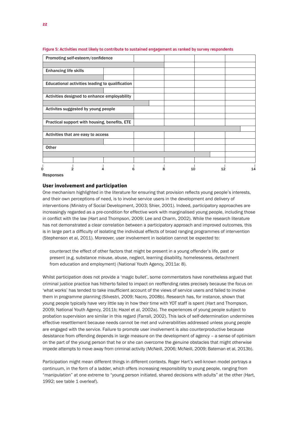| Promoting self-esteem/confidence                |   |    |    |    |
|-------------------------------------------------|---|----|----|----|
|                                                 |   |    |    |    |
| <b>Enhancing life skills</b>                    |   |    |    |    |
|                                                 |   |    |    |    |
| Educational activities leading to qualification |   |    |    |    |
|                                                 |   |    |    |    |
| Activities designed to enhance employability    |   |    |    |    |
|                                                 |   |    |    |    |
| Activites suggested by young people             |   |    |    |    |
|                                                 |   |    |    |    |
| Practical support with housing, benefits, ETE   |   |    |    |    |
|                                                 |   |    |    |    |
| Activities that are easy to access              |   |    |    |    |
|                                                 |   |    |    |    |
| Other                                           |   |    |    |    |
|                                                 |   |    |    |    |
|                                                 |   |    |    |    |
| 0                                               | 8 | 10 | 12 | 14 |

#### **Figure 5: Activities most likely to contribute to sustained engagement as ranked by survey respondents**

Responses

#### User involvement and participation

One mechanism highlighted in the literature for ensuring that provision reflects young people's interests, and their own perceptions of need, is to involve service users in the development and delivery of interventions (Ministry of Social Development, 2003; Shier, 2001). Indeed, participatory approaches are increasingly regarded as a pre-condition for effective work with marginalised young people, including those in conflict with the law (Hart and Thompson, 2009; Lee and Charm, 2002). While the research literature has not demonstrated a clear correlation between a participatory approach and improved outcomes, this is in large part a difficulty of isolating the individual effects of broad ranging programmes of intervention (Stephenson et al, 2011). Moreover, user involvement in isolation cannot be expected to:

counteract the effect of other factors that might be present in a young offender's life, past or present (e.g. substance misuse, abuse, neglect, learning disability, homelessness, detachment from education and employment) (National Youth Agency, 2011a: 8).

Whilst participation does not provide a 'magic bullet', some commentators have nonetheless argued that criminal justice practice has hitherto failed to impact on reoffending rates precisely because the focus on 'what works' has tended to take insufficient account of the views of service users and failed to involve them in programme planning (Silvestri, 2009; Nacro, 2008b). Research has, for instance, shown that young people typically have very little say in how their time with YOT staff is spent (Hart and Thompson, 2009; National Youth Agency, 2011b; Hazel et al, 2002a). The experiences of young people subject to probation supervision are similar in this regard (Farrall, 2002). This lack of self-determination undermines effective resettlement because needs cannot be met and vulnerabilities addressed unless young people are engaged with the service. Failure to promote user involvement is also counterproductive because desistance from offending depends in large measure on the development of agency – a sense of optimism on the part of the young person that he or she can overcome the genuine obstacles that might otherwise impede attempts to move away from criminal activity (McNeill, 2006; McNeill, 2009; Bateman et al, 2013b).

Participation might mean different things in different contexts. Roger Hart's well-known model portrays a continuum, in the form of a ladder, which offers increasing responsibility to young people, ranging from "manipulation" at one extreme to "young person initiated, shared decisions with adults" at the other (Hart, 1992; see table 1 overleaf).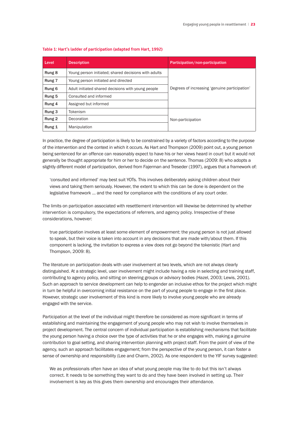| Level                | <b>Description</b>                                   | Participation/non-participation               |  |
|----------------------|------------------------------------------------------|-----------------------------------------------|--|
| Rung 8               | Young person initiated; shared decisions with adults |                                               |  |
| Rung <sub>7</sub>    | Young person initiated and directed                  |                                               |  |
| Rung 6               | Adult initiated shared decisions with young people   | Degrees of increasing 'genuine participation' |  |
| Rung 5               | Consulted and informed                               |                                               |  |
| Rung 4               | Assigned but informed                                |                                               |  |
| Rung 3               | Tokenism                                             |                                               |  |
| Rung 2<br>Decoration |                                                      | Non-participation                             |  |
| Rung 1               | Manipulation                                         |                                               |  |

#### **Table 1: Hart's ladder of participation (adapted from Hart, 1992)**

In practice, the degree of participation is likely to be constrained by a variety of factors according to the purpose of the intervention and the context in which it occurs. As Hart and Thompson (2009) point out, a young person being sentenced for an offence can reasonably expect to have his or her views heard in court but it would not generally be thought appropriate for him or her to decide on the sentence. Thomas (2009: 8) who adopts a slightly different model of participation, derived from Fajerman and Treseder (1997), argues that a framework of:

'consulted and informed' may best suit YOTs. This involves deliberately asking children about their views and taking them seriously. However, the extent to which this can be done is dependent on the legislative framework … and the need for compliance with the conditions of any court order.

The limits on participation associated with resettlement intervention will likewise be determined by whether intervention is compulsory, the expectations of referrers, and agency policy. Irrespective of these considerations, however:

true participation involves at least some element of empowerment: the young person is not just allowed to speak, but their voice is taken into account in any decisions that are made with/about them. If this component is lacking, the invitation to express a view does not go beyond the tokenistic (Hart and Thompson, 2009: 8).

The literature on participation deals with user involvement at two levels, which are not always clearly distinguished. At a strategic level, user involvement might include having a role in selecting and training staff, contributing to agency policy, and sitting on steering groups or advisory bodies (Hazel, 2003; Lewis, 2001). Such an approach to service development can help to engender an inclusive ethos for the project which might in turn be helpful in overcoming initial resistance on the part of young people to engage in the first place. However, strategic user involvement of this kind is more likely to involve young people who are already engaged with the service.

Participation at the level of the individual might therefore be considered as more significant in terms of establishing and maintaining the engagement of young people who may not wish to involve themselves in project development. The central concern of individual participation is establishing mechanisms that facilitate the young person having a choice over the type of activities that he or she engages with, making a genuine contribution to goal setting, and sharing intervention planning with project staff. From the point of view of the agency, such an approach facilitates engagement; from the perspective of the young person, it can foster a sense of ownership and responsibility (Lee and Charm, 2002). As one respondent to the YIF survey suggested:

We as professionals often have an idea of what young people may like to do but this isn't always correct. It needs to be something they want to do and they have been involved in setting up. Their involvement is key as this gives them ownership and encourages their attendance.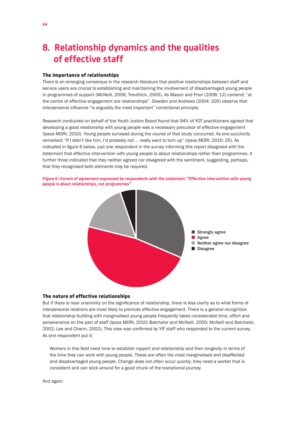# **8. Relationship dynamics and the qualities of effective staff**

#### The importance of relationships

There is an emerging consensus in the research literature that positive relationships between staff and service users are crucial to establishing and maintaining the involvement of disadvantaged young people in programmes of support (McNeill, 2006; Trevithick, 2005). As Mason and Prior (2008: 12) contend: "at the centre of effective engagement are relationships". Dowden and Andrews (2004: 205) observe that interpersonal influence "is arguably the most important" correctional principle.

Research conducted on behalf of the Youth Justice Board found that 94% of YOT practitioners agreed that developing a good relationship with young people was a necessary precursor of effective engagement (Ipsos MORI, 2010). Young people surveyed during the course of that study concurred. As one succinctly remarked: "If I didn't like him, I'd probably not … really want to turn up" (Ipsos MORI, 2010: 25). As indicated in figure 6 below, just one respondent in the survey informing this report disagreed with the statement that effective intervention with young people is about relationships rather than programmes. A further three indicated that they neither agreed nor disagreed with the sentiment, suggesting, perhaps, that they recognised both elements may be required.



**Figure 6 | Extent of agreement expressed by respondents with the statement: "Effective intervention with young people is about relationships, not programmes"**

#### The nature of effective relationships

But if there is near unanimity on the significance of relationship, there is less clarity as to what forms of interpersonal relations are most likely to promote effective engagement. There is a general recognition that relationship building with marginalised young people frequently takes considerable time, effort and perseverance on the part of staff (Ipsos MORI, 2010; Batchelor and McNeill, 2005; McNeill and Batchelor, 2002; Lee and Charm, 2002). This view was confirmed by YIF staff who responded to the current survey. As one respondent put it:

Workers in this field need time to establish rapport and relationship and then longevity in terms of the time they can work with young people. These are often the most marginalised and disaffected and disadvantaged young people. Change does not often occur quickly, they need a worker that is consistent and can stick around for a good chunk of the transitional journey.

And again: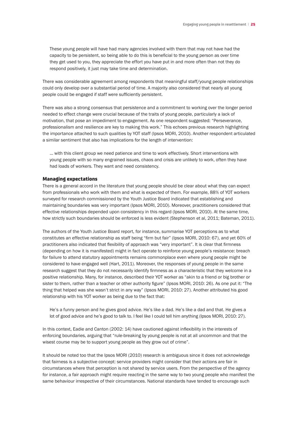These young people will have had many agencies involved with them that may not have had the capacity to be persistent, so being able to do this is beneficial to the young person as over time they get used to you, they appreciate the effort you have put in and more often than not they do respond positively, it just may take time and determination.

There was considerable agreement among respondents that meaningful staff/young people relationships could only develop over a substantial period of time. A majority also considered that nearly all young people could be engaged if staff were sufficiently persistent.

There was also a strong consensus that persistence and a commitment to working over the longer period needed to effect change were crucial because of the traits of young people, particularly a lack of motivation, that pose an impediment to engagement. As one respondent suggested: "Perseverance, professionalism and resilience are key to making this work." This echoes previous research highlighting the importance attached to such qualities by YOT staff (Ipsos MORI, 2010). Another respondent articulated a similar sentiment that also has implications for the length of intervention:

… with this client group we need patience and time to work effectively. Short interventions with young people with so many engrained issues, chaos and crisis are unlikely to work, often they have had loads of workers. They want and need consistency.

#### Managing expectations

There is a general accord in the literature that young people should be clear about what they can expect from professionals who work with them and what is expected of them. For example, 88% of YOT workers surveyed for research commissioned by the Youth Justice Board indicated that establishing and maintaining boundaries was very important (Ipsos MORI, 2010). Moreover, practitioners considered that effective relationships depended upon consistency in this regard (Ipsos MORI, 2010). At the same time, how strictly such boundaries should be enforced is less evident (Stephenson et al, 2011; Bateman, 2011).

The authors of the Youth Justice Board report, for instance, summarise YOT perceptions as to what constitutes an effective relationship as staff being "firm but fair" (Ipsos MORI, 2010: 67), and yet 60% of practitioners also indicated that flexibility of approach was "very important". It is clear that firmness (depending on how it is manifested) might in fact operate to reinforce young people's resistance: breach for failure to attend statutory appointments remains commonplace even where young people might be considered to have engaged well (Hart, 2011). Moreover, the responses of young people in the same research suggest that they do not necessarily identify firmness as a characteristic that they welcome in a positive relationship. Many, for instance, described their YOT worker as "akin to a friend or big brother or sister to them, rather than a teacher or other authority figure" (Ipsos MORI, 2010: 26). As one put it: "The thing that helped was she wasn't strict in any way" (Ipsos MORI, 2010: 27). Another attributed his good relationship with his YOT worker as being due to the fact that:

He's a funny person and he gives good advice. He's like a dad. He's like a dad and that. He gives a lot of good advice and he's good to talk to. I feel like I could tell him anything (Ipsos MORI, 2010: 27).

In this context, Eadie and Canton (2002: 14) have cautioned against inflexibility in the interests of enforcing boundaries, arguing that "rule-breaking by young people is not at all uncommon and that the wisest course may be to support young people as they grow out of crime".

It should be noted too that the Ipsos MORI (2010) research is ambiguous since it does not acknowledge that fairness is a subjective concept: service providers might consider that their actions are fair in circumstances where that perception is not shared by service users. From the perspective of the agency for instance, a fair approach might require reacting in the same way to two young people who manifest the same behaviour irrespective of their circumstances. National standards have tended to encourage such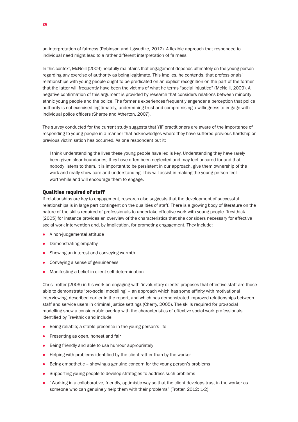an interpretation of fairness (Robinson and Ugwudike, 2012). A flexible approach that responded to individual need might lead to a rather different interpretation of fairness.

In this context, McNeill (2009) helpfully maintains that engagement depends ultimately on the young person regarding any exercise of authority as being legitimate. This implies, he contends, that professionals' relationships with young people ought to be predicated on an explicit recognition on the part of the former that the latter will frequently have been the victims of what he terms "social injustice" (McNeill, 2009). A negative confirmation of this argument is provided by research that considers relations between minority ethnic young people and the police. The former's experiences frequently engender a perception that police authority is not exercised legitimately, undermining trust and compromising a willingness to engage with individual police officers (Sharpe and Atherton, 2007).

The survey conducted for the current study suggests that YIF practitioners are aware of the importance of responding to young people in a manner that acknowledges where they have suffered previous hardship or previous victimisation has occurred. As one respondent put it:

I think understanding the lives these young people have led is key. Understanding they have rarely been given clear boundaries, they have often been neglected and may feel uncared for and that nobody listens to them. It is important to be persistent in our approach, give them ownership of the work and really show care and understanding. This will assist in making the young person feel worthwhile and will encourage them to engage.

#### Qualities required of staff

If relationships are key to engagement, research also suggests that the development of successful relationships is in large part contingent on the qualities of staff. There is a growing body of literature on the nature of the skills required of professionals to undertake effective work with young people. Trevithick (2005) for instance provides an overview of the characteristics that she considers necessary for effective social work intervention and, by implication, for promoting engagement. They include:

- $\bullet$  A non-judgemental attitude
- Demonstrating empathy
- Showing an interest and conveying warmth
- Conveying a sense of genuineness
- Manifesting a belief in client self-determination

Chris Trotter (2006) in his work on engaging with 'involuntary clients' proposes that effective staff are those able to demonstrate 'pro-social modelling' – an approach which has some affinity with motivational interviewing, described earlier in the report, and which has demonstrated improved relationships between staff and service users in criminal justice settings (Cherry, 2005). The skills required for pro-social modelling show a considerable overlap with the characteristics of effective social work professionals identified by Trevithick and include:

- $\bullet$  Being reliable; a stable presence in the young person's life
- **•** Presenting as open, honest and fair
- **•** Being friendly and able to use humour appropriately
- $\bullet$  Helping with problems identified by the client rather than by the worker
- $\bullet$  Being empathetic showing a genuine concern for the young person's problems
- Supporting young people to develop strategies to address such problems
- l "Working in a collaborative, friendly, optimistic way so that the client develops trust in the worker as someone who can genuinely help them with their problems" (Trotter, 2012: 1-2)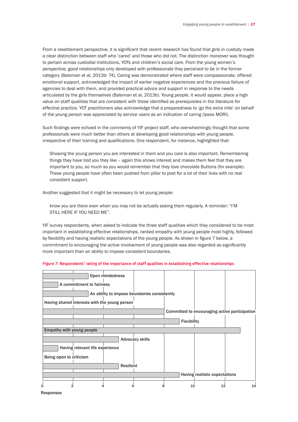From a resettlement perspective, it is significant that recent research has found that girls in custody made a clear distinction between staff who 'cared' and those who did not. The distinction moreover was thought to pertain across custodial institutions, YOTs and children's social care. From the young women's perspective, good relationships only developed with professionals they perceived to be in the former category (Bateman et al, 2013b: 74). Caring was demonstrated where staff were compassionate, offered emotional support, acknowledged the impact of earlier negative experiences and the previous failure of agencies to deal with them, and provided practical advice and support in response to the needs articulated by the girls themselves (Bateman et al, 2013b). Young people, it would appear, place a high value on staff qualities that are consistent with those identified as prerequisites in the literature for effective practice. YOT practitioners also acknowledge that a preparedness to 'go the extra mile' on behalf of the young person was appreciated by service users as an indication of caring (Ipsos MORI).

Such findings were echoed in the comments of YIF project staff, who overwhelmingly thought that some professionals were much better than others at developing good relationships with young people, irrespective of their training and qualifications. One respondent, for instance, highlighted that:

Showing the young person you are interested in them and you care is also important. Remembering things they have told you they like – again this shows interest and makes them feel that they are important to you, so much so you would remember that they love chocolate Buttons (for example). These young people have often been pushed from pillar to post for a lot of their lives with no real consistent support.

Another suggested that it might be necessary to let young people:

know you are there even when you may not be actually seeing them regularly. A reminder: "I'M STILL HERE IF YOU NEED ME".

YIF survey respondents, when asked to indicate the three staff qualities which they considered to be most important in establishing effective relationships, ranked empathy with young people most highly, followed by flexibility and having realistic expectations of the young people. As shown in figure 7 below, a commitment to encouraging the active involvement of young people was also regarded as significantly more important than an ability to impose consistent boundaries.

| Figure 7: Respondents' rating of the importance of staff qualities in establishing effective relationships |  |
|------------------------------------------------------------------------------------------------------------|--|
|                                                                                                            |  |

| A commitment to fairness                      | Open mindedness                              |                        |                    |                               |                                               |
|-----------------------------------------------|----------------------------------------------|------------------------|--------------------|-------------------------------|-----------------------------------------------|
|                                               | An ability to impose boundaries consistently |                        |                    |                               |                                               |
| Having shared interests with the young person |                                              |                        |                    |                               |                                               |
|                                               |                                              |                        |                    |                               | Committed to encouraging active participation |
|                                               |                                              |                        | <b>Flexibility</b> |                               |                                               |
| Empathy with young people                     |                                              |                        |                    |                               |                                               |
|                                               |                                              | <b>Advocacy skills</b> |                    |                               |                                               |
| Having relevant life experience               |                                              |                        |                    |                               |                                               |
| Being open to criticism                       |                                              |                        |                    |                               |                                               |
|                                               | <b>Resilient</b>                             |                        |                    |                               |                                               |
|                                               |                                              |                        |                    | Having realistic expectations |                                               |
| 0                                             |                                              |                        | 10                 | 12                            | 14                                            |

**Responses**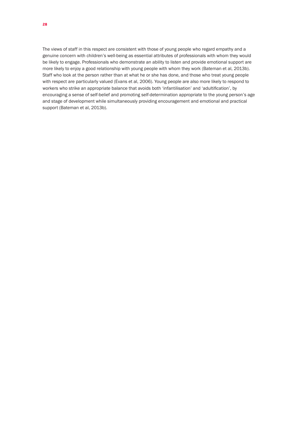The views of staff in this respect are consistent with those of young people who regard empathy and a genuine concern with children's well-being as essential attributes of professionals with whom they would be likely to engage. Professionals who demonstrate an ability to listen and provide emotional support are more likely to enjoy a good relationship with young people with whom they work (Bateman et al, 2013b). Staff who look at the person rather than at what he or she has done, and those who treat young people with respect are particularly valued (Evans et al, 2006). Young people are also more likely to respond to workers who strike an appropriate balance that avoids both 'infantilisation' and 'adultification', by encouraging a sense of self-belief and promoting self-determination appropriate to the young person's age and stage of development while simultaneously providing encouragement and emotional and practical support (Bateman et al, 2013b).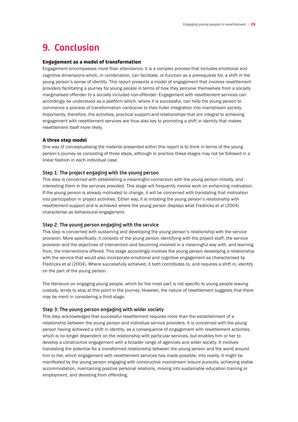### **9. Conclusion**

#### Engagement as a model of transformation

Engagement encompasses more than attendance; it is a complex process that includes emotional and cognitive dimensions which, in combination, can facilitate, or function as a prerequisite for, a shift in the young person's sense of identity. This report presents a model of engagement that involves resettlement providers facilitating a journey for young people in terms of how they perceive themselves from a socially marginalised offender to a socially included non-offender. Engagement with resettlement services can accordingly be understood as a platform which, where it is successful, can help the young person to commence a process of transformation conducive to their fuller integration into mainstream society. Importantly, therefore, the activities, practical support and relationships that are integral to achieving engagement with resettlement services are thus also key to promoting a shift in identity that makes resettlement itself more likely.

#### A three step model

One way of conceptualising the material presented within this report is to think in terms of the young person's journey as consisting of three steps, although in practice these stages may not be followed in a linear fashion in each individual case:

#### **Step 1: The project engaging with the young person**

This step is concerned with establishing a meaningful connection with the young person initially, and interesting them in the services provided. This stage will frequently involve work on enhancing motivation. If the young person is already motivated to change, it will be concerned with translating that motivation into participation in project activities. Either way, it is initiating the young person's relationship with resettlement support and is achieved where the young person displays what Fredricks et al (2004) characterise as behavioural engagement.

#### **Step 2: The young person engaging with the service**

This step is concerned with sustaining and developing the young person's relationship with the service provision. More specifically, it consists of the young person identifying with the project staff, the service provision and the objectives of intervention and becoming involved in a meaningful way with, and learning from, the interventions offered. This stage accordingly involves the young person developing a relationship with the service that would also incorporate emotional and cognitive engagement as characterised by Fredricks et al (2004). Where successfully achieved, it both contributes to, and requires a shift in, identity on the part of the young person.

The literature on engaging young people, which for the most part is not specific to young people leaving custody, tends to stop at this point in the journey. However, the nature of resettlement suggests that there may be merit in considering a third stage.

#### **Step 3: The young person engaging with wider society**

This step acknowledges that successful resettlement requires more than the establishment of a relationship between the young person and individual service providers. It is concerned with the young person having achieved a shift in identity, as a consequence of engagement with resettlement activities, which is no longer dependent on the relationship with particular services, but enables him or her to develop a constructive engagement with a broader range of agencies and wider society. It involves translating the potential for a transformed relationship between the young person and the world around him or her, which engagement with resettlement services has made possible, into reality. It might be manifested by the young person engaging with constructive mainstream leisure pursuits, achieving stable accommodation, maintaining positive personal relations, moving into sustainable education training or employment, and desisting from offending.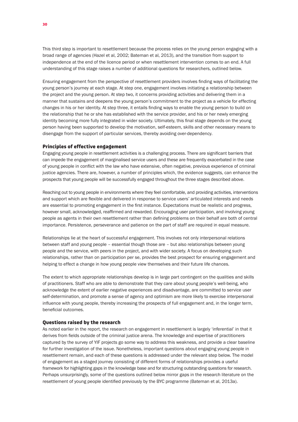This third step is important to resettlement because the process relies on the young person engaging with a broad range of agencies (Hazel et al, 2002; Bateman et al, 2013), and the transition from support to independence at the end of the licence period or when resettlement intervention comes to an end. A full understanding of this stage raises a number of additional questions for researchers, outlined below.

Ensuring engagement from the perspective of resettlement providers involves finding ways of facilitating the young person's journey at each stage. At step one, engagement involves initiating a relationship between the project and the young person. At step two, it concerns providing activities and delivering them in a manner that sustains and deepens the young person's commitment to the project as a vehicle for effecting changes in his or her identity. At step three, it entails finding ways to enable the young person to build on the relationship that he or she has established with the service provider, and his or her newly emerging identity becoming more fully integrated in wider society. Ultimately, this final stage depends on the young person having been supported to develop the motivation, self-esteem, skills and other necessary means to disengage from the support of particular services, thereby avoiding over-dependency.

#### Principles of effective engagement

Engaging young people in resettlement activities is a challenging process. There are significant barriers that can impede the engagement of marginalised service users and these are frequently exacerbated in the case of young people in conflict with the law who have extensive, often negative, previous experience of criminal justice agencies. There are, however, a number of principles which, the evidence suggests, can enhance the prospects that young people will be successfully engaged throughout the three stages described above.

Reaching out to young people in environments where they feel comfortable, and providing activities, interventions and support which are flexible and delivered in response to service users' articulated interests and needs are essential to promoting engagement in the first instance. Expectations must be realistic and progress, however small, acknowledged, reaffirmed and rewarded. Encouraging user participation, and involving young people as agents in their own resettlement rather than defining problems on their behalf are both of central importance. Persistence, perseverance and patience on the part of staff are required in equal measure.

Relationships lie at the heart of successful engagement. This involves not only interpersonal relations between staff and young people – essential though those are – but also relationships between young people and the service, with peers in the project, and with wider society. A focus on developing such relationships, rather than on participation per se, provides the best prospect for ensuring engagement and helping to effect a change in how young people view themselves and their future life chances.

The extent to which appropriate relationships develop is in large part contingent on the qualities and skills of practitioners. Staff who are able to demonstrate that they care about young people's well-being, who acknowledge the extent of earlier negative experiences and disadvantage, are committed to service user self-determination, and promote a sense of agency and optimism are more likely to exercise interpersonal influence with young people, thereby increasing the prospects of full engagement and, in the longer term, beneficial outcomes.

#### Questions raised by the research

As noted earlier in the report, the research on engagement in resettlement is largely 'inferential' in that it derives from fields outside of the criminal justice arena. The knowledge and expertise of practitioners captured by the survey of YIF projects go some way to address this weakness, and provide a clear baseline for further investigation of the issue. Nonetheless, important questions about engaging young people in resettlement remain, and each of these questions is addressed under the relevant step below. The model of engagement as a staged journey consisting of different forms of relationships provides a useful framework for highlighting gaps in the knowledge base and for structuring outstanding questions for research. Perhaps unsurprisingly, some of the questions outlined below mirror gaps in the research literature on the resettlement of young people identified previously by the BYC programme (Bateman et al, 2013a).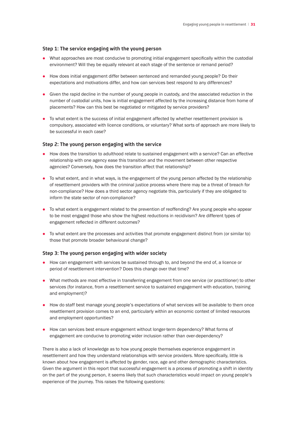#### **Step 1: The service engaging with the young person**

- What approaches are most conducive to promoting initial engagement specifically within the custodial environment? Will they be equally relevant at each stage of the sentence or remand period?
- How does initial engagement differ between sentenced and remanded young people? Do their expectations and motivations differ, and how can services best respond to any differences?
- Given the rapid decline in the number of young people in custody, and the associated reduction in the number of custodial units, how is initial engagement affected by the increasing distance from home of placements? How can this best be negotiated or mitigated by service providers?
- To what extent is the success of initial engagement affected by whether resettlement provision is compulsory, associated with licence conditions, or voluntary? What sorts of approach are more likely to be successful in each case?

#### **Step 2: The young person engaging with the service**

- How does the transition to adulthood relate to sustained engagement with a service? Can an effective relationship with one agency ease this transition and the movement between other respective agencies? Conversely, how does the transition affect that relationship?
- To what extent, and in what ways, is the engagement of the young person affected by the relationship of resettlement providers with the criminal justice process where there may be a threat of breach for non-compliance? How does a third sector agency negotiate this, particularly if they are obligated to inform the state sector of non-compliance?
- To what extent is engagement related to the prevention of reoffending? Are young people who appear to be most engaged those who show the highest reductions in recidivism? Are different types of engagement reflected in different outcomes?
- To what extent are the processes and activities that promote engagement distinct from (or similar to) those that promote broader behavioural change?

#### **Step 3: The young person engaging with wider society**

- $\bullet$  How can engagement with services be sustained through to, and beyond the end of, a licence or period of resettlement intervention? Does this change over that time?
- What methods are most effective in transferring engagement from one service (or practitioner) to other services (for instance, from a resettlement service to sustained engagement with education, training and employment)?
- How do staff best manage young people's expectations of what services will be available to them once resettlement provision comes to an end, particularly within an economic context of limited resources and employment opportunities?
- How can services best ensure engagement without longer-term dependency? What forms of engagement are conducive to promoting wider inclusion rather than over-dependency?

There is also a lack of knowledge as to how young people themselves experience engagement in resettlement and how they understand relationships with service providers. More specifically, little is known about how engagement is affected by gender, race, age and other demographic characteristics. Given the argument in this report that successful engagement is a process of promoting a shift in identity on the part of the young person, it seems likely that such characteristics would impact on young people's experience of the journey. This raises the following questions: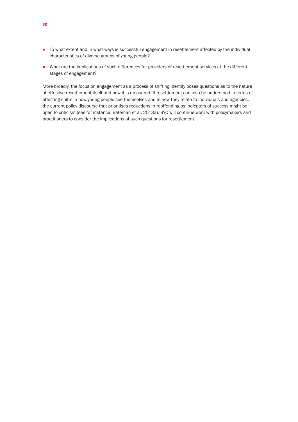- $\bullet$  To what extent and in what ways is successful engagement in resettlement affected by the individual characteristics of diverse groups of young people?
- What are the implications of such differences for providers of resettlement services at the different stages of engagement?

More broadly, the focus on engagement as a process of shifting identity poses questions as to the nature of effective resettlement itself and how it is measured. If resettlement can also be understood in terms of effecting shifts in how young people see themselves and in how they relate to individuals and agencies, the current policy discourse that prioritises reductions in reoffending as indicators of success might be open to criticism (see for instance, Bateman et al, 2013a). BYC will continue work with policymakers and practitioners to consider the implications of such questions for resettlement.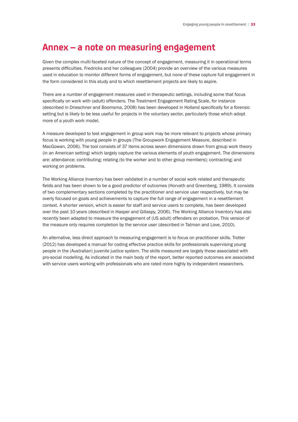### **Annex – a note on measuring engagement**

Given the complex multi-faceted nature of the concept of engagement, measuring it in operational terms presents difficulties. Fredricks and her colleagues (2004) provide an overview of the various measures used in education to monitor different forms of engagement, but none of these capture full engagement in the form considered in this study and to which resettlement projects are likely to aspire.

There are a number of engagement measures used in therapeutic settings, including some that focus specifically on work with (adult) offenders. The Treatment Engagement Rating Scale, for instance (described in Drieschner and Boomsma, 2008) has been developed in Holland specifically for a forensic setting but is likely to be less useful for projects in the voluntary sector, particularly those which adopt more of a youth work model.

A measure developed to test engagement in group work may be more relevant to projects whose primary focus is working with young people in groups (The Groupwork Engagement Measure, described in MacGowan, 2006). The tool consists of 37 items across seven dimensions drawn from group work theory (in an American setting) which largely capture the various elements of youth engagement. The dimensions are: attendance; contributing; relating (to the worker and to other group members); contracting; and working on problems.

The Working Alliance Inventory has been validated in a number of social work related and therapeutic fields and has been shown to be a good predictor of outcomes (Horvath and Greenberg, 1989). It consists of two complementary sections completed by the practitioner and service user respectively, but may be overly focused on goals and achievements to capture the full range of engagement in a resettlement context. A shorter version, which is easier for staff and service users to complete, has been developed over the past 10 years (described in Hasper and Gillaspy, 2006). The Working Alliance Inventory has also recently been adapted to measure the engagement of (US adult) offenders on probation. This version of the measure only requires completion by the service user (described in Tatman and Love, 2010).

An alternative, less direct approach to measuring engagement is to focus on practitioner skills. Trotter (2012) has developed a manual for coding effective practice skills for professionals supervising young people in the (Australian) juvenile justice system. The skills measured are largely those associated with pro-social modelling. As indicated in the main body of the report, better reported outcomes are associated with service users working with professionals who are rated more highly by independent researchers.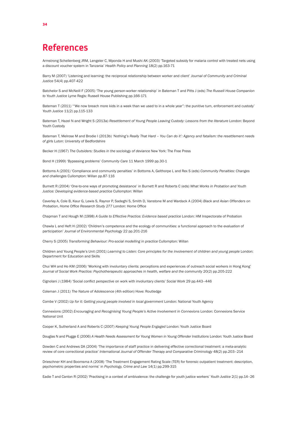### **References**

Armstrong Schellenberg JRM, Lengeler C, Mponda H and Mushi AK (2003) 'Targeted subsidy for malaria control with treated nets using a discount voucher system in Tanzania' *Health Policy and Planning* 18(2) pp.163-71

Barry M (2007) 'Listening and learning: the reciprocal relationship between worker and client' *Journal of Community and Criminal Justice* 54(4) pp.407-422

Batchelor S and McNeill F (2005) 'The young person-worker relationship' in Bateman T and Pitts J (eds) *The Russell House Companion to Youth Justice* Lyme Regis: Russell House Publishing pp.166-171

Bateman T (2011) '"We now breach more kids in a week than we used to in a whole year": the punitive turn, enforcement and custody' *Youth Justice* 11(2) pp.115-133

Bateman T, Hazel N and Wright S (2013a) *Resettlement of Young People Leaving Custody: Lessons from the literature* London: Beyond Youth Custody

Bateman T, Melrose M and Brodie I (2013b) *'Nothing's Really That Hard – You Can do it': Agency and fatalism: the resettlement needs of girls* Luton: University of Bedfordshire

Becker H (1967) *The Outsiders: Studies in the sociology of deviance* New York: The Free Press

Bond H (1999) 'Bypassing problems' *Community Care* 11 March 1999 pp.30-1

Bottoms A (2001) 'Compliance and community penalties' in Bottoms A, Gelthorpe L and Rex S (eds) *Community Penalties: Changes and challenges* Cullompton: Willan pp.87-116

Burnett R (2004) 'One-to-one ways of promoting desistance' in Burnett R and Roberts C (eds) *What Works in Probation and Youth Justice: Developing evidence-based practice* Cullompton: Willan

Caverley A, Cole B, Kaur G, Lewis S, Raynor P, Sadeghi S, Smith D, Vanstone M and Wardack A (2004) *Black and Asian Offenders on Probation*, *Home Office Research Study 277* London: Home Office

Chapman T and Hough M (1998) *A Guide to Effective Practice: Evidence based practice* London: HM Inspectorate of Probation

Chawla L and Heft H (2002) 'Children's competence and the ecology of communities: a functional approach to the evaluation of participation' *Journal of Environmental Psychology* 22 pp.201-216

Cherry S (2005) *Transforming Behaviour: Pro-social modelling in practice* Cullompton: Willan

Children and Young People's Unit (2001) *Learning to Listen: Core principles for the involvement of children and young people* London: Department for Education and Skills

Chui WH and Ho KM (2006) 'Working with involuntary clients: perceptions and experiences of outreach social workers in Hong Kong' *Journal of Social Work Practice: Psychotherapeutic approaches in health, welfare and the community* 20(2) pp.205-222

Cignolani J (1984) 'Social conflict perspective on work with involuntary clients' *Social Work* 29 pp.443–446

Coleman J (2011) *The Nature of Adolescence* (4th edition) Hove: Routledge

Combe V (2002) *Up for it: Getting young people involved in local government* London: National Youth Agency

Connexions (2002) *Encouraging and Recognising Young People's Active Involvement in Connexions* London: Connexions Service National Unit

Cooper K, Sutherland A and Roberts C (2007) *Keeping Young People Engaged* London: Youth Justice Board

Douglas N and Plugge E (2006) *A Health Needs Assessment for Young Women in Young Offender Institutions* London: Youth Justice Board

Dowden C and Andrews DA (2004) 'The importance of staff practice in delivering effective correctional treatment: a meta-analytic review of core correctional practice' *International Journal of Offender Therapy and Comparative Criminology* 48(2) pp.203–214

Drieschner KH and Boomsma A (2008) 'The Treatment Engagement Rating Scale (TER) for forensic outpatient treatment: description, psychometric properties and norms' in *Psychology, Crime and Law* 14(1) pp.299-315

Eadie T and Canton R (2002) 'Practising in a context of ambivalence: the challenge for youth justice workers' *Youth Justice* 2(1) pp.14–26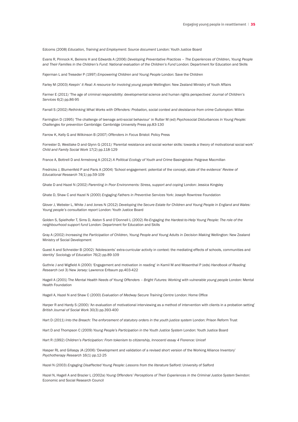Edcoms (2008) *Education, Training and Employment: Source document* London: Youth Justice Board

Evans R, Pinnock K, Beirens H and Edwards A (2006) *Developing Preventative Practices – The Experiences of Children, Young People and Their Families in the Children's Fund*: *National evaluation of the Children's Fund* London: Department for Education and Skills

Fajerman L and Treseder P (1997) *Empowering Children and Young People* London: Save the Children

Farley M (2003) *Keepin' it Real: A resource for involving young people* Wellington: New Zealand Ministry of Youth Affairs

Farmer E (2011) 'The age of criminal responsibility: developmental science and human rights perspectives' *Journal of Children's Services* 6(2) pp.86-95

Farrall S (2002) Rethinking What Works with Offenders: Probation, social context and desistance from crime Cullompton: Willan

Farrington D (1995) 'The challenge of teenage anti-social behaviour' in Rutter M (ed) *Psychosocial Disturbances in Young People: Challenges for prevention* Cambridge: Cambridge University Press pp.83-130

Farrow K, Kelly G and Wilkinson B (2007) *Offenders in Focus* Bristol: Policy Press

Forrester D, Westlake D and Glynn G (2011) 'Parental resistance and social worker skills: towards a theory of motivational social work' *Child and Family Social Work* 17(2) pp.118-129

France A, Bottrell D and Armstrong A (2012) *A Political Ecology of Youth and Crime* Basingstoke: Palgrave Macmillan

Fredricks J, Blumenfeld P and Paris A (2004) 'School engagement: potential of the concept, state of the evidence' *Review of Educational Research* 74(1) pp.59-109

Ghate D and Hazel N (2002) *Parenting in Poor Environments: Stress, support and coping* London: Jessica Kingsley

Ghate D, Shaw C and Hazel N (2000) *Engaging Fathers in Preventive Services* York: Joseph Rowntree Foundation

Glover J, Webster L, White J and Jones N (2012) *Developing the Secure Estate for Children and Young People in England and Wales: Young people's consultation report* London: Youth Justice Board

Golden S, Spielhofer T, Sims D, Aiston S and O'Donnell L (2002) *Re-Engaging the Hardest-to-Help Young People: The role of the neighbourhood support fund* London: Department for Education and Skills

Gray A (2002) *Increasing the Participation of Children, Young People and Young Adults in Decision Making* Wellington: New Zealand Ministry of Social Development

Guest A and Schneider B (2002) 'Adolescents' extra-curricular activity in context: the mediating effects of schools, communities and identity' *Sociology of Education* 76(2) pp.89-109

Guthrie J and Wigfield A (2000) 'Engagement and motivation in reading' in Kamil M and Mosenthal P (eds) *Handbook of Reading Research* (vol 3) New Jersey: Lawrence Erlbaum pp.403-422

Hagell A (2001) T*he Mental Health Needs of Young Offenders – Bright Futures: Working with vulnerable young people* London: Mental Health Foundation

Hagell A, Hazel N and Shaw C (2000) *Evaluation of Medway Secure Training Centre* London: Home Office

Harper R and Hardy S (2000) 'An evaluation of motivational interviewing as a method of intervention with clients in a probation setting' *British Journal of Social Work* 30(3) pp.393-400

Hart D (2011) *Into the Breach: The enforcement of statutory orders in the youth justice system* London: Prison Reform Trust

Hart D and Thompson C (2009) *Young People's Participation in the Youth Justice System* London: Youth Justice Board

Hart R (1992) *Children's Participation: From tokenism to citizenship, Innocenti essay 4* Florence: Unicef

Hasper RL and Gillaspy JA (2006) 'Development and validation of a revised short version of the Working Alliance Inventory' *Psychotherapy Research* 16(1) pp.12-25

Hazel N (2003) *Engaging Disaffected Young People: Lessons from the literature* Salford: University of Salford

Hazel N, Hagell A and Brazier L (2002a) *Young Offenders' Perceptions of Their Experiences in the Criminal Justice System* Swindon: Economic and Social Research Council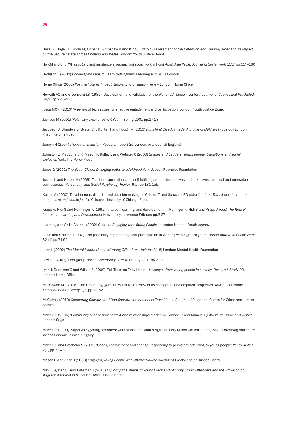Hazel N, Hagell A, Liddle M, Archer D, Grimshaw R and King J (2002b) *Assessment of the Detention and Training Order and its Impact on the Secure Estate Across England and Wales* London: Youth Justice Board

Ho KM and Chui WH (2001) 'Client resistance in outreaching social work in Hong Kong' *Asia Pacific Journal of Social Work* 11(1) pp.114–130

Hodgson L (2002) *Encouraging Lads to Learn* Nottingham: Learning and Skills Council

Home Office (2006) *Positive Futures Impact Report: End of season review* London: Home Office

Horvath AO and Greenberg LS (1989) 'Development and validation of the Working Alliance Inventory' *Journal of Counselling Psychology*  36(2) pp.223–233

Ipsos MORI (2010) 'A review of techniques for effective engagement and participation' London: Youth Justice Board

Jackson M (2001) 'Voluntary excellence' *UK Youth*, Spring 2001 pp.27-28

Jacobson J, Bhardwa B, Gyateng T, Hunter T and Hough M (2010) *Punishing Disadvantage: A profile of children in custody* London: Prison Reform Trust

Jermyn H (2004) *The Art of Inclusion: Research report 35* London: Arts Council England

Johnston L, MacDonald R, Mason P, Ridley L and Webster C (2000) *Snakes and Ladders: Young people, transitions and social exclusion* York: The Policy Press

Jones G (2002) *The Youth Divide: Diverging paths to adulthood* York: Joseph Rowntree Foundation

Jussim L and Harber K (2005) 'Teacher expectations and self-fulfilling prophecies: knowns and unknowns, resolved and unresolved controversies' *Personality and Social Psychology Review* 9(2) pp.131-155

Kazdin A (2000) 'Development, disorder and decision-making' in Grisson T and Schwartz RG (eds) *Youth on Trial: A developmental perspective on juvenile justice* Chicago: University of Chicago Press

Krapp A, Hidi S and Renninger K (1992) 'Interest, learning, and development' in Renniger K, Hidi S and Krapp A (eds) *The Role of Interest in Learning and Development* New Jersey: Lawrence Erlbaum pp.3-27

Learning and Skills Council (2002) *Guide to Engaging with Young People* Leicester: National Youth Agency

Lee F and Charm L (2002) 'The possibility of promoting user participation in working with high-risk youth' *British Journal of Social Work*  32 (1) pp.71-92

Leon L (2002) *The Mental Health Needs of Young Offenders: Updates* 3(18) London: Mental Health Foundation

Lewis C (2001) 'Peer group power' *Community Care* 4 January 2001 pp.22-3

Lyon J, Dennison C and Wilson A (2000) 'Tell Them so They Listen': *Messages from young people in custody, Research Study 201* London: Home Office

MacGowan MJ (2006) 'The Group Engagement Measure: a review of its conceptual and empirical properties' *Journal of Groups in Addiction and Recovery* 1(2) pp.33-52

McGuire J (2010) *Comparing Coercive and Non-Coercive Interventions: Transition to Adulthood 2* London: Centre for Crime and Justice Studies

McNeill F (2006) 'Community supervision: context and relationships matter' in Goldson B and Muncie J (eds) *Youth Crime and Justice* London: Sage

McNeill F (2009) 'Supervising young offenders: what works and what's right' in Barry M and McNeill F (eds) Y*outh Offending and Youth Justice* London: Jessica Kingsley

McNeill F and Batchelor S (2002) 'Chaos, containment and change: responding to persistent offending by young people' *Youth Justice* 2(1) pp.27-43

Mason P and Prior D (2008) *Engaging Young People who Offend: Source document* London: Youth Justice Board

May T, Gyateng T and Bateman T (2010) *Exploring the Needs of Young Black and Minority Ethnic Offenders and the Provision of Targeted Interventions* London: Youth Justice Board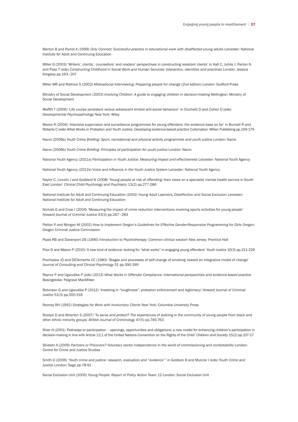Merton B and Parrot A (1999) *Only Connect: Successful practice in educational work with disaffected young adults* Leicester: National Institute for Adult and Continuing Education

Miller G (2003) 'Writers', clients', counsellors' and readers' perspectives in constructing resistant clients' in Hall C, Juhila J, Parton N and Poso T (eds) *Constructing Childhood in Social Work and Human Services: Interaction, identities and practices* London: Jessica Kingsley pp.193–207

Miller WR and Rollnick S (2002) *Motivational Interviewing: Preparing people for change* (2nd edition) London: Guilford Press

Ministry of Social Development (2003) *Involving Children: A guide to engaging children in decision-making* Wellington: Ministry of Social Development

Moffitt T (2006) 'Life course persistent versus adolescent limited anti-social behaviour' in Cicchetti D and Cohen D (eds) *Developmental Psychopathology* New York: Wiley

Moore R (2004) 'Intensive supervision and surveillance programmes for young offenders: the evidence base so far' in Burnett R and Roberts C (eds) *What Works in Probation and Youth Justice: Developing evidence-based practice* Cullompton: Willan Publishing pp.159-179

Nacro (2008a) *Youth Crime Briefing: Sport, recreational and physical activity programmes and youth justice* London: Nacro

Nacro (2008b) *Youth Crime Briefing: Principles of participation for youth justice* London: Nacro

National Youth Agency (2011a) *Participation in Youth Justice: Measuring impact and effectiveness* Leicester: National Youth Agency

National Youth Agency (2011b) V*oice and Influence in the Youth Justice System* Leicester: National Youth Agency

Naylor C, Lincoln J and Goddard N (2008) 'Young people at risk of offending: their views on a specialist mental health service in South East London' *Clinical Child Psychology and Psychiatry* 13(2) pp.277-286

National Institute for Adult and Continuing Education (2002) *Young Adult Learners, Disaffection and Social Exclusion* Leicester: National Institute for Adult and Continuing Education

Nichols G and Crow I (2004) 'Measuring the impact of crime reduction interventions involving sports activities for young people' *Howard Journal of Criminal Justice* 43(3) pp.267–283

Patton P and Morgan M (2002) How to Implement Oregon's Guidelines for Effective Gender-Responsive Programming for Girls Oregon: Oregon Criminal Justice Commission

Pipes RB and Davenport DS (1990) *Introduction to Psychotherapy: Common clinical wisdom* New Jersey: Prentice Hall

Prior D and Mason P (2010) 'A new kind of evidence: looking for "what works" in engaging young offenders' *Youth Justice* 10(3) pp.211-226

Prochaska JO and DiClemente CC (1983) 'Stages and processes of self-change of smoking: toward an integrative model of change' *Journal of Consulting and Clinical Psychology* 51 pp.390-395

Raynor P and Ugwudike P (eds) (2013) *What Works in Offender Compliance: International perspectives and evidence-based practice*  Basingstoke: Palgrave MacMillan

Robinson G and Ugwudike P (2012) 'Investing in "toughness": probation enforcement and legitimacy' *Howard Journal of Criminal Justice* 51(3) pp.300-316

Rooney RH (1992) *Strategies for Work with Involuntary Clients* New York: Columbia University Press

Sharpe D and Atherton S (2007) 'To serve and protect? The experiences of policing in the community of young people from black and other ethnic minority groups' *British Journal of Criminology* 47(5) pp.746-763

Shier H (2001) 'Pathways to participation – openings, opportunities and obligations: a new model for enhancing children's participation in decision-making in line with Article 12.1 of the United Nations Convention on the Rights of the Child' *Children and Society* 15(2) pp.107-17

Silvestri A (2009) Partners or Prisoners? Voluntary sector independence in the world of commissioning and contestability London: Centre for Crime and Justice Studies

Smith D (2006) 'Youth crime and justice: research, evaluation and "evidence''' in Goldson B and Muncie J (eds) *Youth Crime and Justice* London: Sage pp.78-91

Social Exclusion Unit (2000) *Young People: Report of Policy Action Team 12* London: Social Exclusion Unit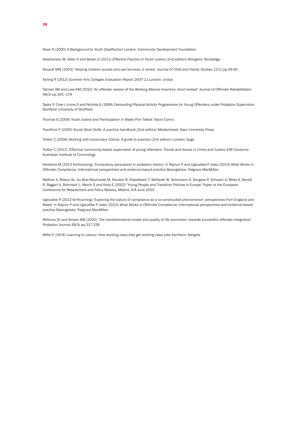Steer R (2000) *A Background to Youth Disaffection* London: Community Development Foundation

Stephenson M, Giller H and Brown S (2011) *Effective Practice in Youth Justice* (2nd edition) Abingdon: Routledge

Straudt MM (2003) 'Helping children access and use services: a review' *Journal of Child and Family Studies* 12(1) pp.49-60

Tarling R (2012) *Summer Arts Colleges Evaluation Report 2007-11* London: Unitas

Tatman AW and Love KM (2010) 'An offender version of the Working Alliance Inventory: short revised' *Journal of Offender Rehabilitation* 49(3) pp.165–179

Taylor P, Crow I, Irvine D and Nichols G (1999) *Demanding Physical Activity Programmes for Young Offenders under Probation Supervision* Sheffield: University of Sheffield

Thomas S (2009) *Youth Justice and Participation in Wales* Port Talbot: Nacro Cymru

Trevithick P (2005) *Social Work Skills: A practice handbook* (2nd edition) Maidenhead: Open University Press

Trotter C (2006) *Working with Involuntary Clients: A guide to practice* (2nd edition) London: Sage

Trotter C (2012) 'Effective community-based supervision of young offenders' *Trends and Issues in Crime and Justice* 448 Canberra: Australian Institute of Criminology

Vanstone M (2013 forthcoming) 'Compulsory persuasion in probation history' in Raynor P and Ugwudike P (eds) (2013) *What Works in Offender Compliance: International perspectives and evidence-based practice* Basingstoke: Palgrave MacMillan

Walther A, Blasco AL, du Bois-Reymonds M, Stauber B, Kieselbach T, McNeish W, Schomann K, Burgess P, Schwarz A, Miles S, Bendit R, Biggart A, Bohnisch L, Morch S and Kiely E (2002) 'Young People and Transition Policies in Europe' Paper to the European Conference for Researchers and Policy Makers, Madrid, 6-8 June 2002

Ugwudike P (2013 forthcoming) 'Exploring the nature of compliance as a co-constructed phenomenon: perspectives from England and Wales' in Raynor P and Ugwudike P (eds) (2013) *What Works in Offender Compliance: International perspectives and evidence-based practice* Basingstoke: Palgrave MacMillan

Williams DJ and Strean WB (2002) 'The transtheoretical model and quality of life promotion: towards successful offender integration' *Probation Journal* 49(3) pp.217-226

Willis P (1978) *Learning to Labour: How working class kids get working class jobs* Farnham: Ashgate